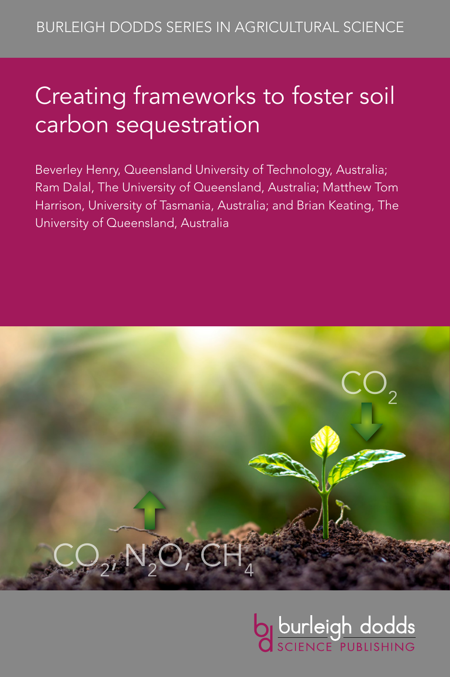# Creating frameworks to foster soil carbon sequestration

Beverley Henry, Queensland University of Technology, Australia; Ram Dalal, The University of Queensland, Australia; Matthew Tom Harrison, University of Tasmania, Australia; and Brian Keating, The University of Queensland, Australia



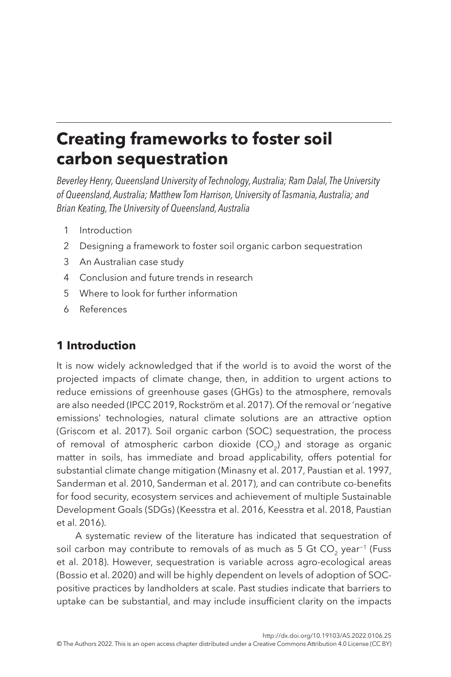# **Creating frameworks to foster soil carbon sequestration**

*Beverley Henry, Queensland University of Technology, Australia; Ram Dalal, The University of Queensland, Australia; Matthew Tom Harrison, University of Tasmania, Australia; and Brian Keating, The University of Queensland, Australia*

- <span id="page-1-1"></span>1 [Introduction](#page-1-0)
- <span id="page-1-2"></span>2 [Designing a framework to foster soil organic carbon sequestration](#page-3-0)
- <span id="page-1-3"></span>3 [An Australian case study](#page-18-0)
- <span id="page-1-4"></span>4 [Conclusion and future trends in research](#page-28-0)
- <span id="page-1-5"></span>5 [Where to look for further information](#page-32-0)
- <span id="page-1-6"></span>6 [References](#page-33-0)

# <span id="page-1-0"></span>**[1 Introduction](#page-1-1)**

It is now widely acknowledged that if the world is to avoid the worst of the projected impacts of climate change, then, in addition to urgent actions to reduce emissions of greenhouse gases (GHGs) to the atmosphere, removals are also needed ([IPCC 2019,](#page-37-0) [Rockström et al. 2017](#page-40-0)). Of the removal or 'negative emissions' technologies, natural climate solutions are an attractive option ([Griscom et al. 2017](#page-36-0)). Soil organic carbon (SOC) sequestration, the process of removal of atmospheric carbon dioxide (CO<sub>2</sub>) and storage as organic matter in soils, has immediate and broad applicability, offers potential for substantial climate change mitigation [\(Minasny et al. 2017](#page-38-0), [Paustian et al. 1997,](#page-39-0) [Sanderman et al. 2010,](#page-40-1) [Sanderman et al. 2017\)](#page-40-2), and can contribute co-benefits for food security, ecosystem services and achievement of multiple Sustainable Development Goals (SDGs) ([Keesstra et al. 2016,](#page-37-1) [Keesstra et al. 2018,](#page-38-1) [Paustian](#page-39-1)  [et al. 2016\)](#page-39-1).

A systematic review of the literature has indicated that sequestration of soil carbon may contribute to removals of as much as 5 Gt CO<sub>2</sub> year<sup>-1</sup> [\(Fuss](#page-36-1) [et al. 2018](#page-36-1)). However, sequestration is variable across agro-ecological areas ([Bossio et al. 2020\)](#page-34-0) and will be highly dependent on levels of adoption of SOCpositive practices by landholders at scale. Past studies indicate that barriers to uptake can be substantial, and may include insufficient clarity on the impacts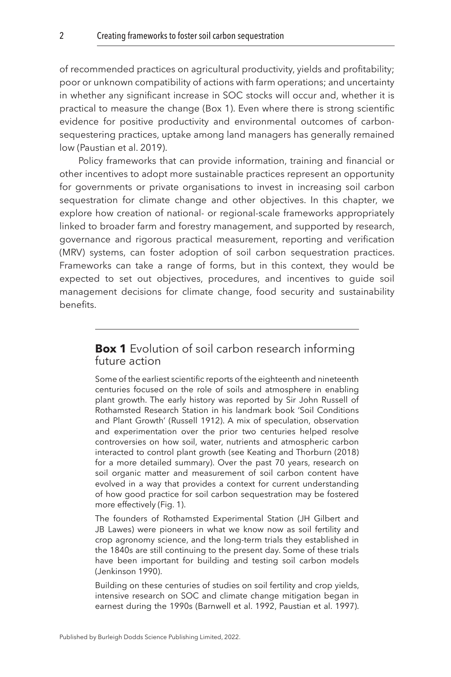of recommended practices on agricultural productivity, yields and profitability; poor or unknown compatibility of actions with farm operations; and uncertainty in whether any significant increase in SOC stocks will occur and, whether it is practical to measure the change (Box 1). Even where there is strong scientific evidence for positive productivity and environmental outcomes of carbonsequestering practices, uptake among land managers has generally remained low [\(Paustian et al. 2019\)](#page-39-2).

Policy frameworks that can provide information, training and financial or other incentives to adopt more sustainable practices represent an opportunity for governments or private organisations to invest in increasing soil carbon sequestration for climate change and other objectives. In this chapter, we explore how creation of national- or regional-scale frameworks appropriately linked to broader farm and forestry management, and supported by research, governance and rigorous practical measurement, reporting and verification (MRV) systems, can foster adoption of soil carbon sequestration practices. Frameworks can take a range of forms, but in this context, they would be expected to set out objectives, procedures, and incentives to guide soil management decisions for climate change, food security and sustainability benefits.

# **Box 1** Evolution of soil carbon research informing future action

Some of the earliest scientific reports of the eighteenth and nineteenth centuries focused on the role of soils and atmosphere in enabling plant growth. The early history was reported by Sir John Russell of Rothamsted Research Station in his landmark book 'Soil Conditions and Plant Growth' ([Russell 1912](#page-40-3)). A mix of speculation, observation and experimentation over the prior two centuries helped resolve controversies on how soil, water, nutrients and atmospheric carbon interacted to control plant growth (see [Keating and Thorburn \(2018\)](#page-37-2)  for a more detailed summary). Over the past 70 years, research on soil organic matter and measurement of soil carbon content have evolved in a way that provides a context for current understanding of how good practice for soil carbon sequestration may be fostered more effectively [\(Fig. 1](#page-3-1)).

The founders of Rothamsted Experimental Station (JH Gilbert and JB Lawes) were pioneers in what we know now as soil fertility and crop agronomy science, and the long-term trials they established in the 1840s are still continuing to the present day. Some of these trials have been important for building and testing soil carbon models [\(Jenkinson 1990\)](#page-37-3).

Building on these centuries of studies on soil fertility and crop yields, intensive research on SOC and climate change mitigation began in earnest during the 1990s [\(Barnwell et al. 1992](#page-34-1), [Paustian et al. 1997\)](#page-39-0).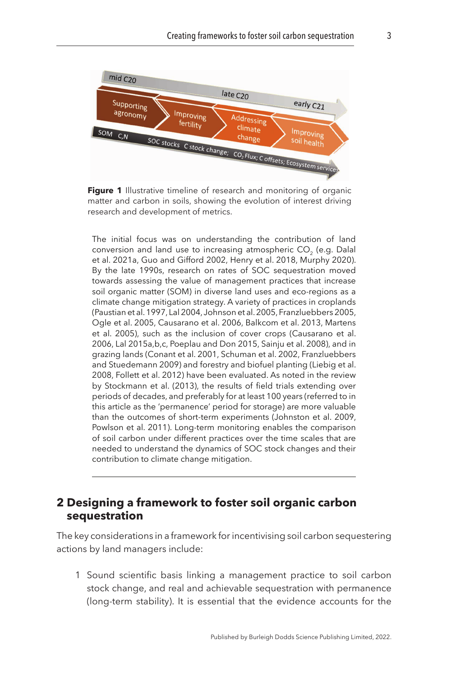<span id="page-3-1"></span>

**Figure 1** Illustrative timeline of research and monitoring of organic matter and carbon in soils, showing the evolution of interest driving research and development of metrics.

The initial focus was on understanding the contribution of land conversion and land use to increasing atmospheric CO<sub>2</sub> (e.g. Dalal [et al. 2021a,](#page-35-0) [Guo and Gifford 2002,](#page-37-4) [Henry et al. 2018](#page-37-5), [Murphy 2020\)](#page-39-3). By the late 1990s, research on rates of SOC sequestration moved towards assessing the value of management practices that increase soil organic matter (SOM) in diverse land uses and eco-regions as a climate change mitigation strategy. A variety of practices in croplands [\(Paustian et al. 1997](#page-39-0), [Lal 2004](#page-38-2), [Johnson et al. 2005](#page-37-6), [Franzluebbers 2005](#page-36-2), [Ogle et al. 2005,](#page-39-4) [Causarano et al. 2006](#page-34-2), [Balkcom et al. 2013](#page-33-1), [Martens](#page-38-3)  [et al. 2005\)](#page-38-3), such as the inclusion of cover crops [\(Causarano et al.](#page-34-2)  [2006,](#page-34-2) [Lal 2015a](#page-38-4),[b,](#page-38-5)[c,](#page-38-6) [Poeplau and Don 2015,](#page-39-5) [Sainju et al. 2008](#page-40-4)), and in grazing lands [\(Conant et al. 2001](#page-35-1), [Schuman et al. 2002](#page-41-0), [Franzluebbers](#page-36-3)  [and Stuedemann 2009\)](#page-36-3) and forestry and biofuel planting [\(Liebig et al.](#page-38-7)  [2008,](#page-38-7) [Follett et al. 2012](#page-36-4)) have been evaluated. As noted in the review by [Stockmann et al. \(2013\)](#page-41-1), the results of field trials extending over periods of decades, and preferably for at least 100 years (referred to in this article as the 'permanence' period for storage) are more valuable than the outcomes of short-term experiments [\(Johnston et al. 2009](#page-37-7), [Powlson et al. 2011\)](#page-40-5). Long-term monitoring enables the comparison of soil carbon under different practices over the time scales that are needed to understand the dynamics of SOC stock changes and their contribution to climate change mitigation.

#### <span id="page-3-0"></span>**[2 Designing a framework to foster soil organic carbon](#page-1-2)  [sequestration](#page-1-2)**

The key considerations in a framework for incentivising soil carbon sequestering actions by land managers include:

1 Sound scientific basis linking a management practice to soil carbon stock change, and real and achievable sequestration with permanence (long-term stability). It is essential that the evidence accounts for the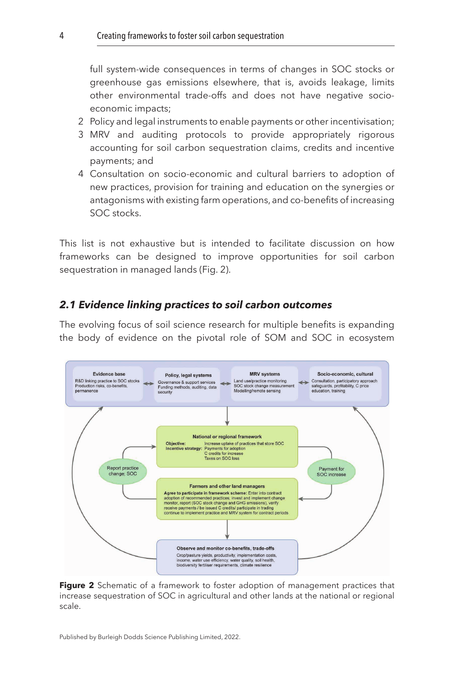full system-wide consequences in terms of changes in SOC stocks or greenhouse gas emissions elsewhere, that is, avoids leakage, limits other environmental trade-offs and does not have negative socioeconomic impacts;

- 2 Policy and legal instruments to enable payments or other incentivisation;
- 3 MRV and auditing protocols to provide appropriately rigorous accounting for soil carbon sequestration claims, credits and incentive payments; and
- 4 Consultation on socio-economic and cultural barriers to adoption of new practices, provision for training and education on the synergies or antagonisms with existing farm operations, and co-benefits of increasing SOC stocks.

This list is not exhaustive but is intended to facilitate discussion on how frameworks can be designed to improve opportunities for soil carbon sequestration in managed lands (Fig. 2).

#### *2.1 Evidence linking practices to soil carbon outcomes*

The evolving focus of soil science research for multiple benefits is expanding the body of evidence on the pivotal role of SOM and SOC in ecosystem



**Figure 2** Schematic of a framework to foster adoption of management practices that increase sequestration of SOC in agricultural and other lands at the national or regional scale.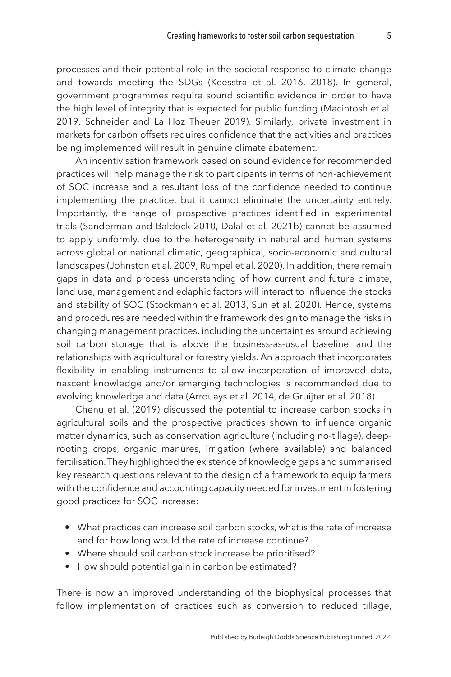processes and their potential role in the societal response to climate change and towards meeting the SDGs ([Keesstra et al. 2016,](#page-37-1) [2018\)](#page-38-1). In general, government programmes require sound scientific evidence in order to have the high level of integrity that is expected for public funding [\(Macintosh et al.](#page-38-8) [2019,](#page-38-8) [Schneider and La Hoz Theuer 2019\)](#page-41-2). Similarly, private investment in markets for carbon offsets requires confidence that the activities and practices being implemented will result in genuine climate abatement.

An incentivisation framework based on sound evidence for recommended practices will help manage the risk to participants in terms of non-achievement of SOC increase and a resultant loss of the confidence needed to continue implementing the practice, but it cannot eliminate the uncertainty entirely. Importantly, the range of prospective practices identified in experimental trials [\(Sanderman and Baldock 2010](#page-40-6), [Dalal et al. 2021b\)](#page-35-2) cannot be assumed to apply uniformly, due to the heterogeneity in natural and human systems across global or national climatic, geographical, socio-economic and cultural landscapes ([Johnston et al. 2009,](#page-37-7) [Rumpel et al. 2020\)](#page-40-7). In addition, there remain gaps in data and process understanding of how current and future climate, land use, management and edaphic factors will interact to influence the stocks and stability of SOC [\(Stockmann et al. 2013](#page-41-1), [Sun et al. 2020\)](#page-41-3). Hence, systems and procedures are needed within the framework design to manage the risks in changing management practices, including the uncertainties around achieving soil carbon storage that is above the business-as-usual baseline, and the relationships with agricultural or forestry yields. An approach that incorporates flexibility in enabling instruments to allow incorporation of improved data, nascent knowledge and/or emerging technologies is recommended due to evolving knowledge and data [\(Arrouays et al. 2014,](#page-33-2) [de Gruijter et al. 2018](#page-35-3)).

[Chenu et al. \(2019\)](#page-35-4) discussed the potential to increase carbon stocks in agricultural soils and the prospective practices shown to influence organic matter dynamics, such as conservation agriculture (including no-tillage), deeprooting crops, organic manures, irrigation (where available) and balanced fertilisation. They highlighted the existence of knowledge gaps and summarised key research questions relevant to the design of a framework to equip farmers with the confidence and accounting capacity needed for investment in fostering good practices for SOC increase:

- What practices can increase soil carbon stocks, what is the rate of increase and for how long would the rate of increase continue?
- Where should soil carbon stock increase be prioritised?
- How should potential gain in carbon be estimated?

There is now an improved understanding of the biophysical processes that follow implementation of practices such as conversion to reduced tillage,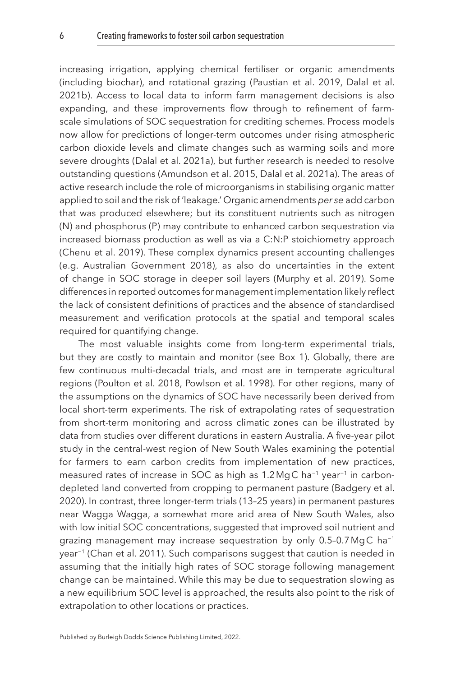increasing irrigation, applying chemical fertiliser or organic amendments (including biochar), and rotational grazing ([Paustian et al. 2019](#page-39-2), [Dalal et al.](#page-35-2)  [2021b](#page-35-2)). Access to local data to inform farm management decisions is also expanding, and these improvements flow through to refinement of farmscale simulations of SOC sequestration for crediting schemes. Process models now allow for predictions of longer-term outcomes under rising atmospheric carbon dioxide levels and climate changes such as warming soils and more severe droughts [\(Dalal et al. 2021a\)](#page-35-0), but further research is needed to resolve outstanding questions ([Amundson et al. 2015](#page-33-3), [Dalal et al. 2021a\)](#page-35-0). The areas of active research include the role of microorganisms in stabilising organic matter applied to soil and the risk of 'leakage.' Organic amendments *per se* add carbon that was produced elsewhere; but its constituent nutrients such as nitrogen (N) and phosphorus (P) may contribute to enhanced carbon sequestration via increased biomass production as well as via a C:N:P stoichiometry approach ([Chenu et al. 2019](#page-35-4)). These complex dynamics present accounting challenges (e.g. [Australian Government 2018\)](#page-33-4), as also do uncertainties in the extent of change in SOC storage in deeper soil layers [\(Murphy et al. 2019\)](#page-39-6). Some differences in reported outcomes for management implementation likely reflect the lack of consistent definitions of practices and the absence of standardised measurement and verification protocols at the spatial and temporal scales required for quantifying change.

The most valuable insights come from long-term experimental trials, but they are costly to maintain and monitor (see Box 1). Globally, there are few continuous multi-decadal trials, and most are in temperate agricultural regions [\(Poulton et al. 2018,](#page-39-7) [Powlson et al. 1998\)](#page-39-8). For other regions, many of the assumptions on the dynamics of SOC have necessarily been derived from local short-term experiments. The risk of extrapolating rates of sequestration from short-term monitoring and across climatic zones can be illustrated by data from studies over different durations in eastern Australia. A five-year pilot study in the central-west region of New South Wales examining the potential for farmers to earn carbon credits from implementation of new practices, measured rates of increase in SOC as high as 1.2MgC ha−1 year−1 in carbondepleted land converted from cropping to permanent pasture ([Badgery et al.](#page-33-5)  [2020\)](#page-33-5). In contrast, three longer-term trials (13–25 years) in permanent pastures near Wagga Wagga, a somewhat more arid area of New South Wales, also with low initial SOC concentrations, suggested that improved soil nutrient and grazing management may increase sequestration by only 0.5-0.7 MgC ha<sup>-1</sup> year−1 [\(Chan et al. 2011\)](#page-34-3). Such comparisons suggest that caution is needed in assuming that the initially high rates of SOC storage following management change can be maintained. While this may be due to sequestration slowing as a new equilibrium SOC level is approached, the results also point to the risk of extrapolation to other locations or practices.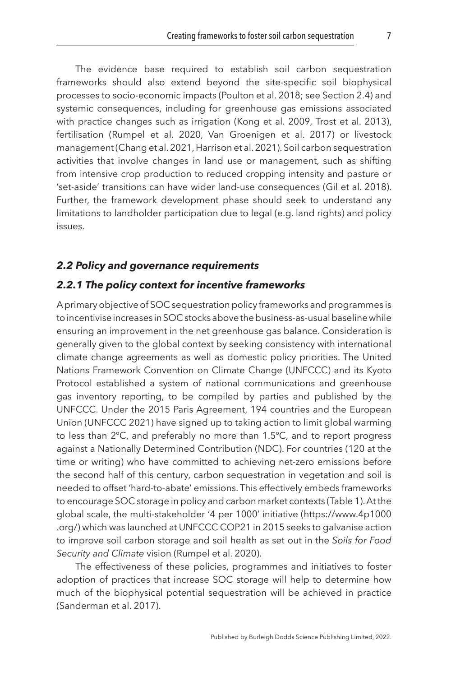The evidence base required to establish soil carbon sequestration frameworks should also extend beyond the site-specific soil biophysical processes to socio-economic impacts ([Poulton et al. 2018;](#page-39-7) see Section 2.4) and systemic consequences, including for greenhouse gas emissions associated with practice changes such as irrigation [\(Kong et al. 2009](#page-38-9), [Trost et al. 2013](#page-41-4)), fertilisation ([Rumpel et al. 2020,](#page-40-7) [Van Groenigen et al. 2017\)](#page-41-5) or livestock management [\(Chang et al. 2021](#page-35-5), [Harrison et al. 2021\)](#page-37-8). Soil carbon sequestration activities that involve changes in land use or management, such as shifting from intensive crop production to reduced cropping intensity and pasture or 'set-aside' transitions can have wider land-use consequences [\(Gil et al. 2018](#page-36-5)). Further, the framework development phase should seek to understand any limitations to landholder participation due to legal (e.g. land rights) and policy issues.

#### *2.2 Policy and governance requirements*

#### *2.2.1 The policy context for incentive frameworks*

A primary objective of SOC sequestration policy frameworks and programmes is to incentivise increases in SOC stocks above the business-as-usual baseline while ensuring an improvement in the net greenhouse gas balance. Consideration is generally given to the global context by seeking consistency with international climate change agreements as well as domestic policy priorities. The United Nations Framework Convention on Climate Change (UNFCCC) and its Kyoto Protocol established a system of national communications and greenhouse gas inventory reporting, to be compiled by parties and published by the UNFCCC. Under the 2015 Paris Agreement, 194 countries and the European Union [\(UNFCCC 2021](#page-41-6)) have signed up to taking action to limit global warming to less than 2ºC, and preferably no more than 1.5ºC, and to report progress against a Nationally Determined Contribution (NDC). For countries (120 at the time or writing) who have committed to achieving net-zero emissions before the second half of this century, carbon sequestration in vegetation and soil is needed to offset 'hard-to-abate' emissions. This effectively embeds frameworks to encourage SOC storage in policy and carbon market contexts ([Table 1\)](#page-8-0). At the global scale, the multi-stakeholder '4 per 1000' initiative (https://www.4p1000 .org/) which was launched at UNFCCC COP21 in 2015 seeks to galvanise action to improve soil carbon storage and soil health as set out in the *Soils for Food Security and Climate* vision ([Rumpel et al. 2020](#page-40-7)).

The effectiveness of these policies, programmes and initiatives to foster adoption of practices that increase SOC storage will help to determine how much of the biophysical potential sequestration will be achieved in practice ([Sanderman et al. 2017\)](#page-40-2).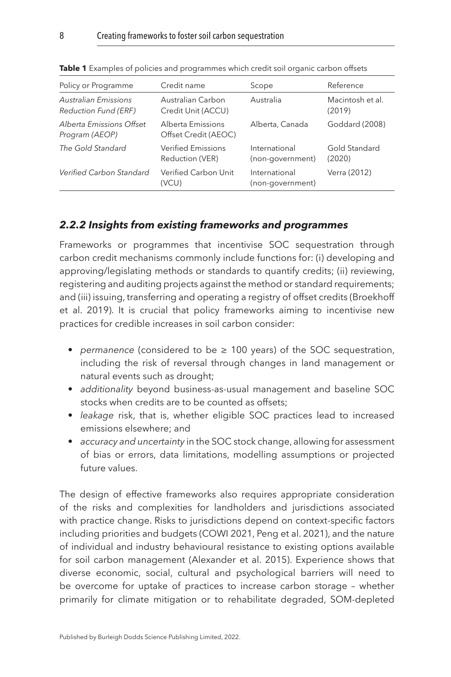| Policy or Programme                                 | Credit name                                  | Scope                             | Reference                  |
|-----------------------------------------------------|----------------------------------------------|-----------------------------------|----------------------------|
| Australian Emissions<br><b>Reduction Fund (ERF)</b> | Australian Carbon<br>Credit Unit (ACCU)      | Australia                         | Macintosh et al.<br>(2019) |
| Alberta Emissions Offset<br>Program (AEOP)          | Alberta Emissions<br>Offset Credit (AEOC)    | Alberta, Canada                   | Goddard (2008)             |
| The Gold Standard                                   | <b>Verified Emissions</b><br>Reduction (VER) | International<br>(non-government) | Gold Standard<br>(2020)    |
| Verified Carbon Standard                            | Verified Carbon Unit<br>(VCU)                | International<br>(non-government) | Verra (2012)               |

<span id="page-8-0"></span>**Table 1** Examples of policies and programmes which credit soil organic carbon offsets

#### *2.2.2 Insights from existing frameworks and programmes*

Frameworks or programmes that incentivise SOC sequestration through carbon credit mechanisms commonly include functions for: (i) developing and approving/legislating methods or standards to quantify credits; (ii) reviewing, registering and auditing projects against the method or standard requirements; and (iii) issuing, transferring and operating a registry of offset credits ([Broekhoff](#page-34-4)  [et al. 2019\)](#page-34-4). It is crucial that policy frameworks aiming to incentivise new practices for credible increases in soil carbon consider:

- *permanence* (considered to be ≥ 100 years) of the SOC sequestration, including the risk of reversal through changes in land management or natural events such as drought;
- *additionality* beyond business-as-usual management and baseline SOC stocks when credits are to be counted as offsets;
- *leakage* risk, that is, whether eligible SOC practices lead to increased emissions elsewhere; and
- *accuracy and uncertainty* in the SOC stock change, allowing for assessment of bias or errors, data limitations, modelling assumptions or projected future values.

The design of effective frameworks also requires appropriate consideration of the risks and complexities for landholders and jurisdictions associated with practice change. Risks to jurisdictions depend on context-specific factors including priorities and budgets (COWI [2021](#page-35-6), [Peng et al. 2021](#page-39-9)), and the nature of individual and industry behavioural resistance to existing options available for soil carbon management [\(Alexander et al. 2015](#page-33-6)). Experience shows that diverse economic, social, cultural and psychological barriers will need to be overcome for uptake of practices to increase carbon storage – whether primarily for climate mitigation or to rehabilitate degraded, SOM-depleted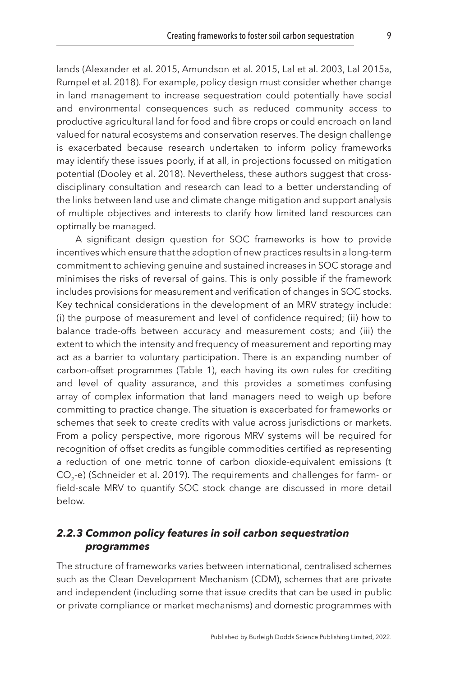lands [\(Alexander et al. 2015](#page-33-6), [Amundson et al. 2015](#page-33-3), [Lal et al. 2003](#page-38-10), [Lal 2015a,](#page-38-4) [Rumpel et al. 2018\)](#page-40-8). For example, policy design must consider whether change in land management to increase sequestration could potentially have social and environmental consequences such as reduced community access to productive agricultural land for food and fibre crops or could encroach on land valued for natural ecosystems and conservation reserves. The design challenge is exacerbated because research undertaken to inform policy frameworks may identify these issues poorly, if at all, in projections focussed on mitigation potential [\(Dooley et al. 2018\)](#page-36-8). Nevertheless, these authors suggest that crossdisciplinary consultation and research can lead to a better understanding of the links between land use and climate change mitigation and support analysis of multiple objectives and interests to clarify how limited land resources can optimally be managed.

A significant design question for SOC frameworks is how to provide incentives which ensure that the adoption of new practices results in a long-term commitment to achieving genuine and sustained increases in SOC storage and minimises the risks of reversal of gains. This is only possible if the framework includes provisions for measurement and verification of changes in SOC stocks. Key technical considerations in the development of an MRV strategy include: (i) the purpose of measurement and level of confidence required; (ii) how to balance trade-offs between accuracy and measurement costs; and (iii) the extent to which the intensity and frequency of measurement and reporting may act as a barrier to voluntary participation. There is an expanding number of carbon-offset programmes [\(Table 1](#page-8-0)), each having its own rules for crediting and level of quality assurance, and this provides a sometimes confusing array of complex information that land managers need to weigh up before committing to practice change. The situation is exacerbated for frameworks or schemes that seek to create credits with value across jurisdictions or markets. From a policy perspective, more rigorous MRV systems will be required for recognition of offset credits as fungible commodities certified as representing a reduction of one metric tonne of carbon dioxide-equivalent emissions (t  $CO<sub>2</sub>$ -e) ([Schneider et al. 2019](#page-40-9)). The requirements and challenges for farm- or field-scale MRV to quantify SOC stock change are discussed in more detail below.

#### *2.2.3 Common policy features in soil carbon sequestration programmes*

The structure of frameworks varies between international, centralised schemes such as the Clean Development Mechanism (CDM), schemes that are private and independent (including some that issue credits that can be used in public or private compliance or market mechanisms) and domestic programmes with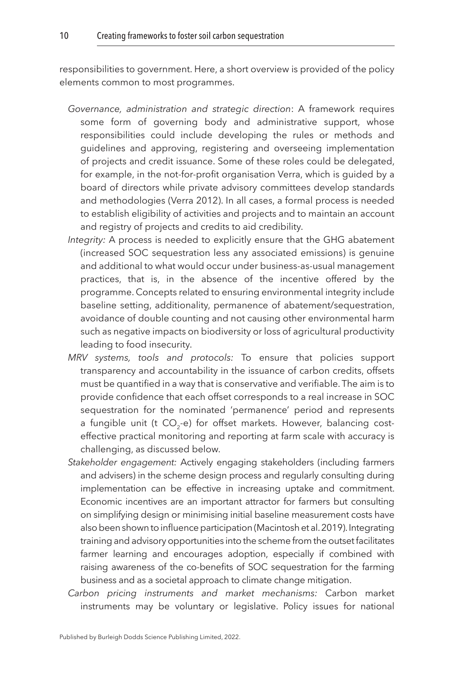responsibilities to government. Here, a short overview is provided of the policy elements common to most programmes.

- *Governance, administration and strategic direction*: A framework requires some form of governing body and administrative support, whose responsibilities could include developing the rules or methods and guidelines and approving, registering and overseeing implementation of projects and credit issuance. Some of these roles could be delegated, for example, in the not-for-profit organisation Verra, which is guided by a board of directors while private advisory committees develop standards and methodologies [\(Verra 2012](#page-42-0)). In all cases, a formal process is needed to establish eligibility of activities and projects and to maintain an account and registry of projects and credits to aid credibility.
- *Integrity:* A process is needed to explicitly ensure that the GHG abatement (increased SOC sequestration less any associated emissions) is genuine and additional to what would occur under business-as-usual management practices, that is, in the absence of the incentive offered by the programme. Concepts related to ensuring environmental integrity include baseline setting, additionality, permanence of abatement/sequestration, avoidance of double counting and not causing other environmental harm such as negative impacts on biodiversity or loss of agricultural productivity leading to food insecurity.
- *MRV systems, tools and protocols:* To ensure that policies support transparency and accountability in the issuance of carbon credits, offsets must be quantified in a way that is conservative and verifiable. The aim is to provide confidence that each offset corresponds to a real increase in SOC sequestration for the nominated 'permanence' period and represents a fungible unit (t  $CO<sub>2</sub>-e$ ) for offset markets. However, balancing costeffective practical monitoring and reporting at farm scale with accuracy is challenging, as discussed below.
- *Stakeholder engagement:* Actively engaging stakeholders (including farmers and advisers) in the scheme design process and regularly consulting during implementation can be effective in increasing uptake and commitment. Economic incentives are an important attractor for farmers but consulting on simplifying design or minimising initial baseline measurement costs have also been shown to influence participation [\(Macintosh et al. 2019](#page-38-8)). Integrating training and advisory opportunities into the scheme from the outset facilitates farmer learning and encourages adoption, especially if combined with raising awareness of the co-benefits of SOC sequestration for the farming business and as a societal approach to climate change mitigation.
- *Carbon pricing instruments and market mechanisms:* Carbon market instruments may be voluntary or legislative. Policy issues for national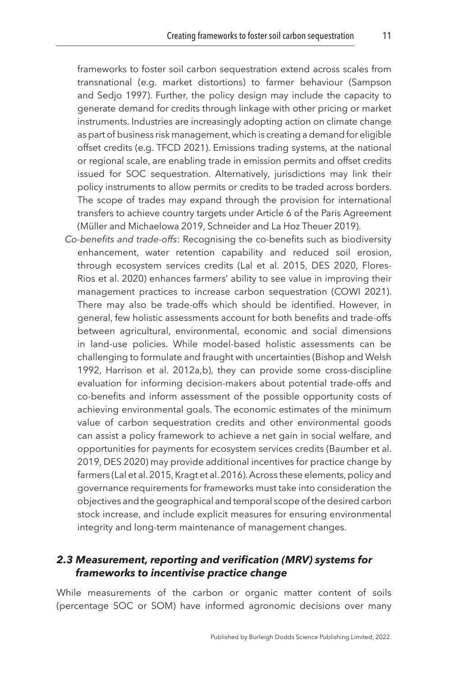frameworks to foster soil carbon sequestration extend across scales from transnational (e.g. market distortions) to farmer behaviour [\(Sampson](#page-40-10) [and Sedjo 1997\)](#page-40-10). Further, the policy design may include the capacity to generate demand for credits through linkage with other pricing or market instruments. Industries are increasingly adopting action on climate change as part of business risk management, which is creating a demand for eligible offset credits (e.g. [TFCD 2021](#page-41-7)). Emissions trading systems, at the national or regional scale, are enabling trade in emission permits and offset credits issued for SOC sequestration. Alternatively, jurisdictions may link their policy instruments to allow permits or credits to be traded across borders. The scope of trades may expand through the provision for international transfers to achieve country targets under Article 6 of the Paris Agreement ([Müller and Michaelowa 2019,](#page-39-10) Schneider and La Hoz Theuer [2019](#page-41-2)).

*Co-benefits and trade-offs*: Recognising the co-benefits such as biodiversity enhancement, water retention capability and reduced soil erosion, through ecosystem services credits ([Lal et al. 2015,](#page-38-11) [DES 2020,](#page-36-9) [Flores-](#page-36-10)[Rios et al. 2020](#page-36-10)) enhances farmers' ability to see value in improving their management practices to increase carbon sequestration (COWI [2021](#page-35-6)). There may also be trade-offs which should be identified. However, in general, few holistic assessments account for both benefits and trade-offs between agricultural, environmental, economic and social dimensions in land-use policies. While model-based holistic assessments can be challenging to formulate and fraught with uncertainties [\(Bishop and Welsh](#page-34-5) [1992,](#page-34-5) [Harrison et al. 2012a](#page-37-9)[,b\)](#page-37-10), they can provide some cross-discipline evaluation for informing decision-makers about potential trade-offs and co-benefits and inform assessment of the possible opportunity costs of achieving environmental goals. The economic estimates of the minimum value of carbon sequestration credits and other environmental goods can assist a policy framework to achieve a net gain in social welfare, and opportunities for payments for ecosystem services credits [\(Baumber et al.](#page-34-6) [2019,](#page-34-6) [DES 2020](#page-36-9)) may provide additional incentives for practice change by farmers [\(Lal et al. 2015,](#page-38-11) [Kragt et al. 2016\)](#page-38-12). Across these elements, policy and governance requirements for frameworks must take into consideration the objectives and the geographical and temporal scope of the desired carbon stock increase, and include explicit measures for ensuring environmental integrity and long-term maintenance of management changes.

#### *2.3 Measurement, reporting and verification (MRV) systems for frameworks to incentivise practice change*

While measurements of the carbon or organic matter content of soils (percentage SOC or SOM) have informed agronomic decisions over many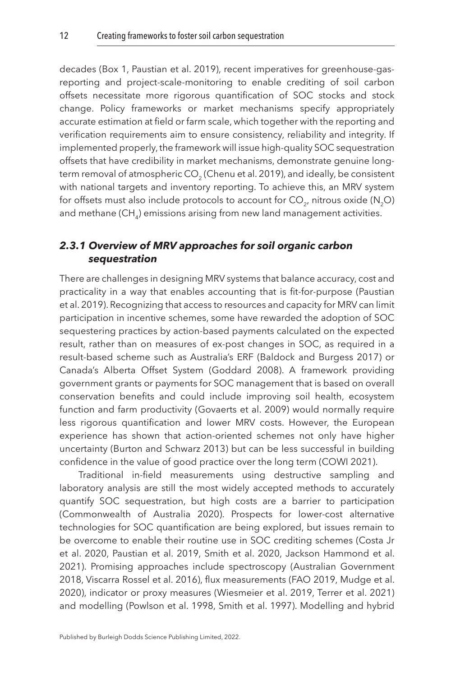decades (Box 1, [Paustian et al. 2019](#page-39-2)), recent imperatives for greenhouse-gasreporting and project-scale-monitoring to enable crediting of soil carbon offsets necessitate more rigorous quantification of SOC stocks and stock change. Policy frameworks or market mechanisms specify appropriately accurate estimation at field or farm scale, which together with the reporting and verification requirements aim to ensure consistency, reliability and integrity. If implemented properly, the framework will issue high-quality SOC sequestration offsets that have credibility in market mechanisms, demonstrate genuine long-term removal of atmospheric CO<sub>2</sub> [\(Chenu et al. 2019](#page-35-4)), and ideally, be consistent with national targets and inventory reporting. To achieve this, an MRV system for offsets must also include protocols to account for  $CO_{2}$ , nitrous oxide (N<sub>2</sub>O) and methane (CH<sub>4</sub>) emissions arising from new land management activities.

# *2.3.1 Overview of MRV approaches for soil organic carbon sequestration*

There are challenges in designing MRV systems that balance accuracy, cost and practicality in a way that enables accounting that is fit-for-purpose ([Paustian](#page-39-2)  [et al. 2019\)](#page-39-2). Recognizing that access to resources and capacity for MRV can limit participation in incentive schemes, some have rewarded the adoption of SOC sequestering practices by action-based payments calculated on the expected result, rather than on measures of ex-post changes in SOC, as required in a result-based scheme such as Australia's ERF [\(Baldock and Burgess 2017\)](#page-33-7) or Canada's Alberta Offset System [\(Goddard 2008](#page-36-6)). A framework providing government grants or payments for SOC management that is based on overall conservation benefits and could include improving soil health, ecosystem function and farm productivity [\(Govaerts et al. 2009\)](#page-36-11) would normally require less rigorous quantification and lower MRV costs. However, the European experience has shown that action-oriented schemes not only have higher uncertainty [\(Burton and Schwarz 2013](#page-34-7)) but can be less successful in building confidence in the value of good practice over the long term (COWI [2021\)](#page-35-6).

Traditional in-field measurements using destructive sampling and laboratory analysis are still the most widely accepted methods to accurately quantify SOC sequestration, but high costs are a barrier to participation ([Commonwealth of Australia 2020\)](#page-35-7). Prospects for lower-cost alternative technologies for SOC quantification are being explored, but issues remain to be overcome to enable their routine use in SOC crediting schemes (Costa Jr et al. [2020,](#page-35-8) [Paustian et al. 2019,](#page-39-2) [Smith et al. 2020](#page-41-8), [Jackson Hammond et al.](#page-37-11)  [2021\)](#page-37-11). Promising approaches include spectroscopy [\(Australian Government](#page-33-4)  [2018,](#page-33-4) [Viscarra Rossel et al. 2016\)](#page-42-1), flux measurements ([FAO 2019](#page-36-12), [Mudge et al.](#page-39-11)  [2020\)](#page-39-11), indicator or proxy measures [\(Wiesmeier et al. 2019](#page-42-2), [Terrer et al. 2021](#page-41-9)) and modelling [\(Powlson et al. 1998,](#page-39-8) [Smith et al. 1997\)](#page-41-10). Modelling and hybrid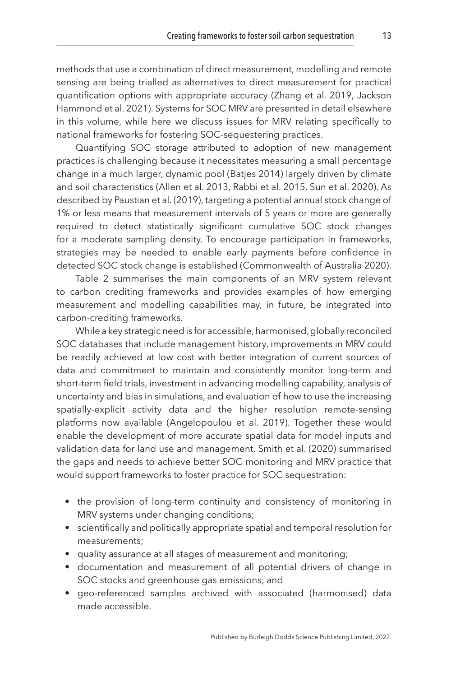methods that use a combination of direct measurement, modelling and remote sensing are being trialled as alternatives to direct measurement for practical quantification options with appropriate accuracy ([Zhang et al. 2019,](#page-42-3) [Jackson](#page-37-11) [Hammond et al. 2021\)](#page-37-11). Systems for SOC MRV are presented in detail elsewhere in this volume, while here we discuss issues for MRV relating specifically to national frameworks for fostering SOC-sequestering practices.

Quantifying SOC storage attributed to adoption of new management practices is challenging because it necessitates measuring a small percentage change in a much larger, dynamic pool ([Batjes 2014\)](#page-34-8) largely driven by climate and soil characteristics ([Allen et al. 2013](#page-33-8), [Rabbi et al. 2015,](#page-40-11) [Sun et al. 2020\)](#page-41-3). As described by [Paustian et al. \(2019\)](#page-39-2), targeting a potential annual stock change of 1% or less means that measurement intervals of 5 years or more are generally required to detect statistically significant cumulative SOC stock changes for a moderate sampling density. To encourage participation in frameworks, strategies may be needed to enable early payments before confidence in detected SOC stock change is established [\(Commonwealth of Australia 2020\)](#page-35-7).

[Table 2](#page-14-0) summarises the main components of an MRV system relevant to carbon crediting frameworks and provides examples of how emerging measurement and modelling capabilities may, in future, be integrated into carbon-crediting frameworks.

While a key strategic need is for accessible, harmonised, globally reconciled SOC databases that include management history, improvements in MRV could be readily achieved at low cost with better integration of current sources of data and commitment to maintain and consistently monitor long-term and short-term field trials, investment in advancing modelling capability, analysis of uncertainty and bias in simulations, and evaluation of how to use the increasing spatially-explicit activity data and the higher resolution remote-sensing platforms now available ([Angelopoulou et al. 2019](#page-33-9)). Together these would enable the development of more accurate spatial data for model inputs and validation data for land use and management. [Smith et al. \(2020\)](#page-41-8) summarised the gaps and needs to achieve better SOC monitoring and MRV practice that would support frameworks to foster practice for SOC sequestration:

- the provision of long-term continuity and consistency of monitoring in MRV systems under changing conditions;
- scientifically and politically appropriate spatial and temporal resolution for measurements;
- quality assurance at all stages of measurement and monitoring;
- documentation and measurement of all potential drivers of change in SOC stocks and greenhouse gas emissions; and
- geo-referenced samples archived with associated (harmonised) data made accessible.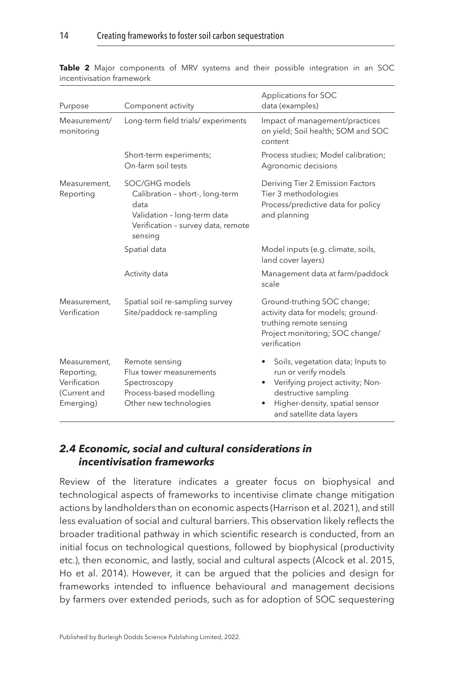| Purpose                                                                 | Component activity                                                                                                                        | Applications for SOC<br>data (examples)                                                                                                                                              |  |
|-------------------------------------------------------------------------|-------------------------------------------------------------------------------------------------------------------------------------------|--------------------------------------------------------------------------------------------------------------------------------------------------------------------------------------|--|
| Measurement/<br>monitoring                                              | Long-term field trials/experiments                                                                                                        | Impact of management/practices<br>on yield; Soil health; SOM and SOC<br>content                                                                                                      |  |
|                                                                         | Short-term experiments;<br>On-farm soil tests                                                                                             | Process studies; Model calibration;<br>Agronomic decisions                                                                                                                           |  |
| Measurement.<br>Reporting                                               | SOC/GHG models<br>Calibration - short-, long-term<br>data<br>Validation - long-term data<br>Verification - survey data, remote<br>sensing | Deriving Tier 2 Emission Factors<br>Tier 3 methodologies<br>Process/predictive data for policy<br>and planning                                                                       |  |
|                                                                         | Spatial data                                                                                                                              | Model inputs (e.g. climate, soils,<br>land cover layers)                                                                                                                             |  |
|                                                                         | Activity data                                                                                                                             | Management data at farm/paddock<br>scale                                                                                                                                             |  |
| Measurement,<br>Verification                                            | Spatial soil re-sampling survey<br>Site/paddock re-sampling                                                                               | Ground-truthing SOC change;<br>activity data for models; ground-<br>truthing remote sensing<br>Project monitoring; SOC change/<br>verification                                       |  |
| Measurement,<br>Reporting,<br>Verification<br>(Current and<br>Emerging) | Remote sensing<br>Flux tower measurements<br>Spectroscopy<br>Process-based modelling<br>Other new technologies                            | Soils, vegetation data; Inputs to<br>run or verify models<br>Verifying project activity; Non-<br>destructive sampling<br>Higher-density, spatial sensor<br>and satellite data layers |  |

<span id="page-14-0"></span>**Table 2** Major components of MRV systems and their possible integration in an SOC incentivisation framework

#### *2.4 Economic, social and cultural considerations in incentivisation frameworks*

Review of the literature indicates a greater focus on biophysical and technological aspects of frameworks to incentivise climate change mitigation actions by landholders than on economic aspects ([Harrison et al. 2021](#page-37-8)), and still less evaluation of social and cultural barriers. This observation likely reflects the broader traditional pathway in which scientific research is conducted, from an initial focus on technological questions, followed by biophysical (productivity etc.), then economic, and lastly, social and cultural aspects ([Alcock et al. 2015,](#page-33-10) [Ho et al. 2014\)](#page-37-12). However, it can be argued that the policies and design for frameworks intended to influence behavioural and management decisions by farmers over extended periods, such as for adoption of SOC sequestering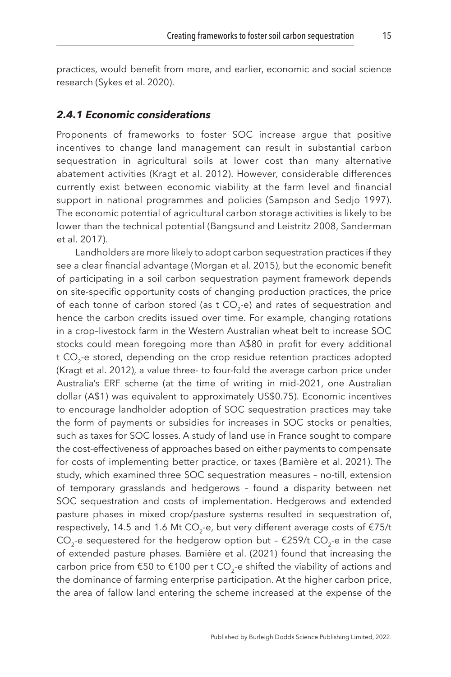practices, would benefit from more, and earlier, economic and social science research ([Sykes et al. 2020\)](#page-41-11).

#### *2.4.1 Economic considerations*

Proponents of frameworks to foster SOC increase argue that positive incentives to change land management can result in substantial carbon sequestration in agricultural soils at lower cost than many alternative abatement activities ([Kragt et al. 2012\)](#page-38-13). However, considerable differences currently exist between economic viability at the farm level and financial support in national programmes and policies ([Sampson and Sedjo 1997](#page-40-10)). The economic potential of agricultural carbon storage activities is likely to be lower than the technical potential ([Bangsund and Leistritz 2008](#page-34-9), [Sanderman](#page-40-2) [et al. 2017](#page-40-2)).

Landholders are more likely to adopt carbon sequestration practices if they see a clear financial advantage [\(Morgan et al. 2015\)](#page-39-12), but the economic benefit of participating in a soil carbon sequestration payment framework depends on site-specific opportunity costs of changing production practices, the price of each tonne of carbon stored (as t  $CO<sub>2</sub>$ -e) and rates of sequestration and hence the carbon credits issued over time. For example, changing rotations in a crop–livestock farm in the Western Australian wheat belt to increase SOC stocks could mean foregoing more than A\$80 in profit for every additional t CO<sub>2</sub>-e stored, depending on the crop residue retention practices adopted ([Kragt et al. 2012](#page-38-13)), a value three- to four-fold the average carbon price under Australia's ERF scheme (at the time of writing in mid-2021, one Australian dollar (A\$1) was equivalent to approximately US\$0.75). Economic incentives to encourage landholder adoption of SOC sequestration practices may take the form of payments or subsidies for increases in SOC stocks or penalties, such as taxes for SOC losses. A study of land use in France sought to compare the cost-effectiveness of approaches based on either payments to compensate for costs of implementing better practice, or taxes ([Bamière et al. 2021\)](#page-33-11). The study, which examined three SOC sequestration measures – no-till, extension of temporary grasslands and hedgerows – found a disparity between net SOC sequestration and costs of implementation. Hedgerows and extended pasture phases in mixed crop/pasture systems resulted in sequestration of, respectively, 14.5 and 1.6 Mt CO<sub>2</sub>-e, but very different average costs of  $£75/t$ CO<sub>2</sub>-e sequestered for the hedgerow option but -  $\epsilon$ 259/t CO<sub>2</sub>-e in the case of extended pasture phases. [Bamière et al. \(2021\)](#page-33-11) found that increasing the carbon price from  $\epsilon$ 50 to  $\epsilon$ 100 per t CO<sub>2</sub>-e shifted the viability of actions and the dominance of farming enterprise participation. At the higher carbon price, the area of fallow land entering the scheme increased at the expense of the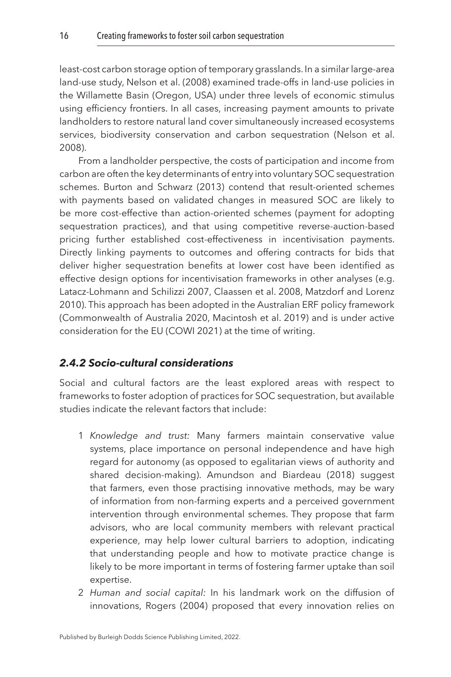least-cost carbon storage option of temporary grasslands. In a similar large-area land-use study, [Nelson et al. \(2008\)](#page-39-13) examined trade-offs in land-use policies in the Willamette Basin (Oregon, USA) under three levels of economic stimulus using efficiency frontiers. In all cases, increasing payment amounts to private landholders to restore natural land cover simultaneously increased ecosystems services, biodiversity conservation and carbon sequestration ([Nelson et al.](#page-39-13)  [2008\)](#page-39-13).

From a landholder perspective, the costs of participation and income from carbon are often the key determinants of entry into voluntary SOC sequestration schemes. [Burton and Schwarz \(2013\)](#page-34-7) contend that result-oriented schemes with payments based on validated changes in measured SOC are likely to be more cost-effective than action-oriented schemes (payment for adopting sequestration practices), and that using competitive reverse-auction-based pricing further established cost-effectiveness in incentivisation payments. Directly linking payments to outcomes and offering contracts for bids that deliver higher sequestration benefits at lower cost have been identified as effective design options for incentivisation frameworks in other analyses (e.g. [Latacz-Lohmann and Schilizzi 2007,](#page-38-14) [Claassen et al. 2008](#page-35-9), [Matzdorf and Lorenz](#page-38-15)  [2010\)](#page-38-15). This approach has been adopted in the Australian ERF policy framework ([Commonwealth of Australia 2020](#page-35-7), [Macintosh et al. 2019](#page-38-8)) and is under active consideration for the EU (COWI [2021](#page-35-6)) at the time of writing.

#### *2.4.2 Socio-cultural considerations*

Social and cultural factors are the least explored areas with respect to frameworks to foster adoption of practices for SOC sequestration, but available studies indicate the relevant factors that include:

- 1 *Knowledge and trust:* Many farmers maintain conservative value systems, place importance on personal independence and have high regard for autonomy (as opposed to egalitarian views of authority and shared decision-making). [Amundson and Biardeau \(2018\)](#page-33-12) suggest that farmers, even those practising innovative methods, may be wary of information from non-farming experts and a perceived government intervention through environmental schemes. They propose that farm advisors, who are local community members with relevant practical experience, may help lower cultural barriers to adoption, indicating that understanding people and how to motivate practice change is likely to be more important in terms of fostering farmer uptake than soil expertise.
- 2 *Human and social capital:* In his landmark work on the diffusion of innovations, [Rogers \(2004\)](#page-40-12) proposed that every innovation relies on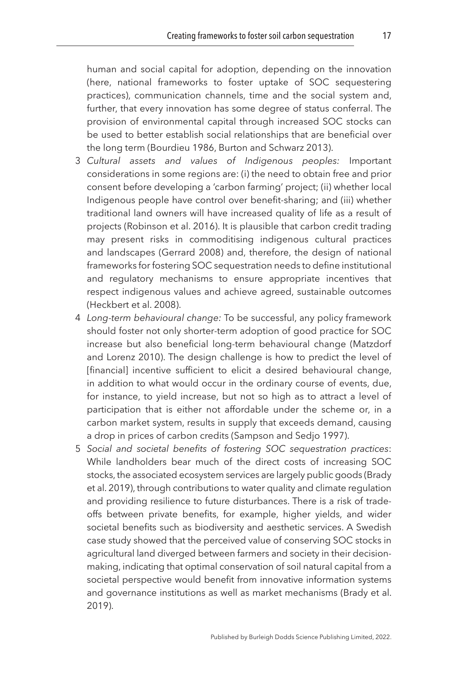human and social capital for adoption, depending on the innovation (here, national frameworks to foster uptake of SOC sequestering practices), communication channels, time and the social system and, further, that every innovation has some degree of status conferral. The provision of environmental capital through increased SOC stocks can be used to better establish social relationships that are beneficial over the long term ([Bourdieu 1986,](#page-34-10) [Burton and Schwarz 2013\)](#page-34-7).

- 3 *Cultural assets and values of Indigenous peoples:* Important considerations in some regions are: (i) the need to obtain free and prior consent before developing a 'carbon farming' project; (ii) whether local Indigenous people have control over benefit-sharing; and (iii) whether traditional land owners will have increased quality of life as a result of projects [\(Robinson et al. 2016](#page-40-13)). It is plausible that carbon credit trading may present risks in commoditising indigenous cultural practices and landscapes [\(Gerrard 2008\)](#page-36-13) and, therefore, the design of national frameworks for fostering SOC sequestration needs to define institutional and regulatory mechanisms to ensure appropriate incentives that respect indigenous values and achieve agreed, sustainable outcomes ([Heckbert et al. 2008](#page-37-13)).
- 4 *Long-term behavioural change:* To be successful, any policy framework should foster not only shorter-term adoption of good practice for SOC increase but also beneficial long-term behavioural change [\(Matzdorf](#page-38-15) [and Lorenz 2010](#page-38-15)). The design challenge is how to predict the level of [financial] incentive sufficient to elicit a desired behavioural change, in addition to what would occur in the ordinary course of events, due, for instance, to yield increase, but not so high as to attract a level of participation that is either not affordable under the scheme or, in a carbon market system, results in supply that exceeds demand, causing a drop in prices of carbon credits ([Sampson and Sedjo 1997\)](#page-40-10).
- 5 *Social and societal benefits of fostering SOC sequestration practices*: While landholders bear much of the direct costs of increasing SOC stocks, the associated ecosystem services are largely public goods [\(Brady](#page-34-11) [et al. 2019](#page-34-11)), through contributions to water quality and climate regulation and providing resilience to future disturbances. There is a risk of tradeoffs between private benefits, for example, higher yields, and wider societal benefits such as biodiversity and aesthetic services. A Swedish case study showed that the perceived value of conserving SOC stocks in agricultural land diverged between farmers and society in their decisionmaking, indicating that optimal conservation of soil natural capital from a societal perspective would benefit from innovative information systems and governance institutions as well as market mechanisms [\(Brady et al.](#page-34-11) [2019\)](#page-34-11).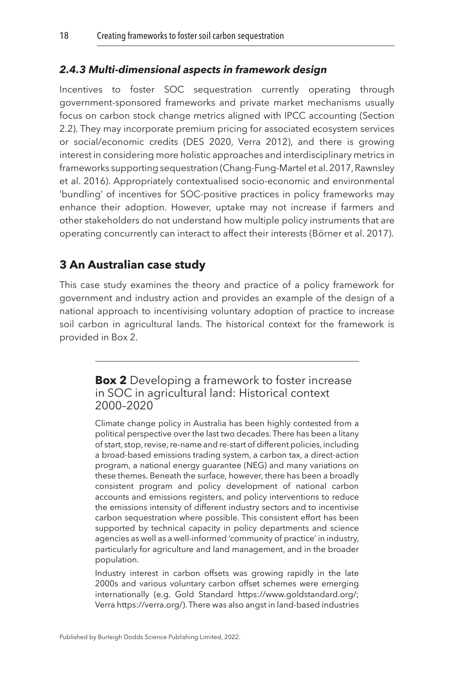#### *2.4.3 Multi-dimensional aspects in framework design*

Incentives to foster SOC sequestration currently operating through government-sponsored frameworks and private market mechanisms usually focus on carbon stock change metrics aligned with IPCC accounting (Section 2.2). They may incorporate premium pricing for associated ecosystem services or social/economic credits ([DES 2020,](#page-36-9) [Verra 2012\)](#page-42-0), and there is growing interest in considering more holistic approaches and interdisciplinary metrics in frameworks supporting sequestration ([Chang-Fung-Martel et al. 2017](#page-35-10), [Rawnsley](#page-40-14)  [et al. 2016\)](#page-40-14). Appropriately contextualised socio-economic and environmental 'bundling' of incentives for SOC-positive practices in policy frameworks may enhance their adoption. However, uptake may not increase if farmers and other stakeholders do not understand how multiple policy instruments that are operating concurrently can interact to affect their interests [\(Börner et al. 2017](#page-34-12)).

# <span id="page-18-0"></span>**[3 An Australian case study](#page-1-3)**

This case study examines the theory and practice of a policy framework for government and industry action and provides an example of the design of a national approach to incentivising voluntary adoption of practice to increase soil carbon in agricultural lands. The historical context for the framework is provided in Box 2.

> **Box 2** Developing a framework to foster increase in SOC in agricultural land: Historical context 2000–2020

Climate change policy in Australia has been highly contested from a political perspective over the last two decades. There has been a litany of start, stop, revise, re-name and re-start of different policies, including a broad-based emissions trading system, a carbon tax, a direct-action program, a national energy guarantee (NEG) and many variations on these themes. Beneath the surface, however, there has been a broadly consistent program and policy development of national carbon accounts and emissions registers, and policy interventions to reduce the emissions intensity of different industry sectors and to incentivise carbon sequestration where possible. This consistent effort has been supported by technical capacity in policy departments and science agencies as well as a well-informed 'community of practice' in industry, particularly for agriculture and land management, and in the broader population.

Industry interest in carbon offsets was growing rapidly in the late 2000s and various voluntary carbon offset schemes were emerging internationally (e.g. Gold Standard <https://www.goldstandard.org/;> Verra https://verra.org/). There was also angst in land-based industries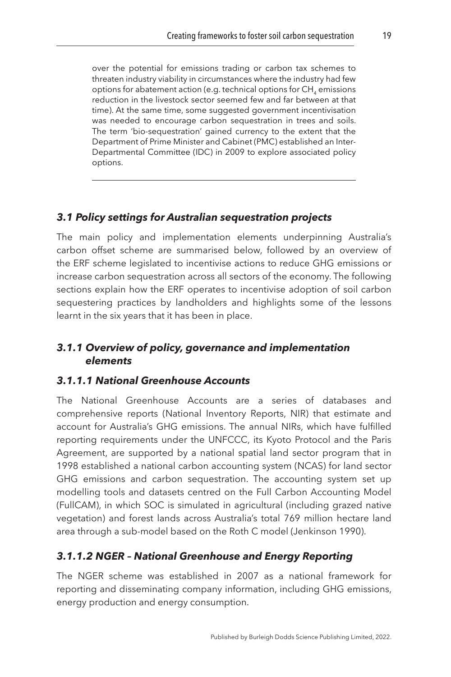over the potential for emissions trading or carbon tax schemes to threaten industry viability in circumstances where the industry had few options for abatement action (e.g. technical options for CH<sub>4</sub> emissions reduction in the livestock sector seemed few and far between at that time). At the same time, some suggested government incentivisation was needed to encourage carbon sequestration in trees and soils. The term 'bio-sequestration' gained currency to the extent that the Department of Prime Minister and Cabinet (PMC) established an Inter-Departmental Committee (IDC) in 2009 to explore associated policy options.

#### *3.1 Policy settings for Australian sequestration projects*

The main policy and implementation elements underpinning Australia's carbon offset scheme are summarised below, followed by an overview of the ERF scheme legislated to incentivise actions to reduce GHG emissions or increase carbon sequestration across all sectors of the economy. The following sections explain how the ERF operates to incentivise adoption of soil carbon sequestering practices by landholders and highlights some of the lessons learnt in the six years that it has been in place.

#### *3.1.1 Overview of policy, governance and implementation elements*

#### *3.1.1.1 National Greenhouse Accounts*

The National Greenhouse Accounts are a series of databases and comprehensive reports (National Inventory Reports, NIR) that estimate and account for Australia's GHG emissions. The annual NIRs, which have fulfilled reporting requirements under the UNFCCC, its Kyoto Protocol and the Paris Agreement, are supported by a national spatial land sector program that in 1998 established a national carbon accounting system (NCAS) for land sector GHG emissions and carbon sequestration. The accounting system set up modelling tools and datasets centred on the Full Carbon Accounting Model (FullCAM), in which SOC is simulated in agricultural (including grazed native vegetation) and forest lands across Australia's total 769 million hectare land area through a sub-model based on the Roth C model [\(Jenkinson 1990\)](#page-37-3).

#### *3.1.1.2 NGER – National Greenhouse and Energy Reporting*

The NGER scheme was established in 2007 as a national framework for reporting and disseminating company information, including GHG emissions, energy production and energy consumption.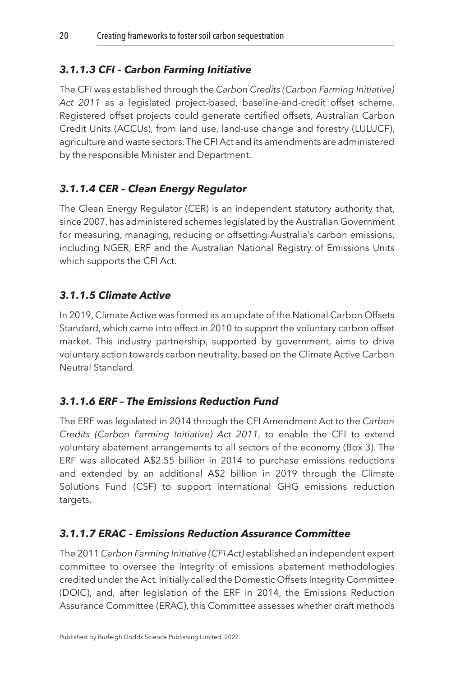# *3.1.1.3 CFI – Carbon Farming Initiative*

The CFI was established through the *Carbon Credits (Carbon Farming Initiative) Act 2011* as a legislated project-based, baseline-and-credit offset scheme. Registered offset projects could generate certified offsets, Australian Carbon Credit Units (ACCUs), from land use, land-use change and forestry (LULUCF), agriculture and waste sectors. The CFI Act and its amendments are administered by the responsible Minister and Department.

# *3.1.1.4 CER – Clean Energy Regulator*

The Clean Energy Regulator (CER) is an independent statutory authority that, since 2007, has administered schemes legislated by the Australian Government for measuring, managing, reducing or offsetting Australia's carbon emissions, including NGER, ERF and the Australian National Registry of Emissions Units which supports the CFI Act.

# *3.1.1.5 Climate Active*

In 2019, Climate Active was formed as an update of the National Carbon Offsets Standard, which came into effect in 2010 to support the voluntary carbon offset market. This industry partnership, supported by government, aims to drive voluntary action towards carbon neutrality, based on the Climate Active Carbon Neutral Standard.

# *3.1.1.6 ERF – The Emissions Reduction Fund*

The ERF was legislated in 2014 through the CFI Amendment Act to the *Carbon Credits (Carbon Farming Initiative) Act 2011*, to enable the CFI to extend voluntary abatement arrangements to all sectors of the economy (Box 3). The ERF was allocated A\$2.55 billion in 2014 to purchase emissions reductions and extended by an additional A\$2 billion in 2019 through the Climate Solutions Fund (CSF) to support international GHG emissions reduction targets.

# *3.1.1.7 ERAC – Emissions Reduction Assurance Committee*

The 2011 *Carbon Farming Initiative (CFI Act)* established an independent expert committee to oversee the integrity of emissions abatement methodologies credited under the Act. Initially called the Domestic Offsets Integrity Committee (DOIC), and, after legislation of the ERF in 2014, the Emissions Reduction Assurance Committee (ERAC), this Committee assesses whether draft methods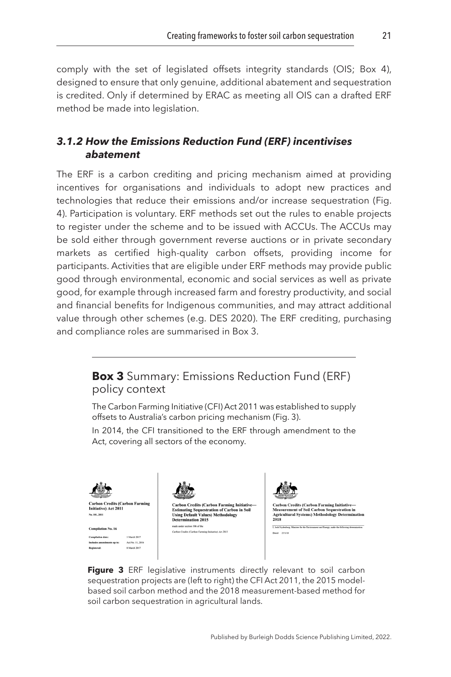<span id="page-21-0"></span>comply with the set of legislated offsets integrity standards (OIS; Box 4), designed to ensure that only genuine, additional abatement and sequestration is credited. Only if determined by ERAC as meeting all OIS can a drafted ERF method be made into legislation.

## *3.1.2 How the Emissions Reduction Fund (ERF) incentivises abatement*

The ERF is a carbon crediting and pricing mechanism aimed at providing incentives for organisations and individuals to adopt new practices and technologies that reduce their emissions and/or increase sequestration (Fig. 4). Participation is voluntary. ERF methods set out the rules to enable projects to register under the scheme and to be issued with ACCUs. The ACCUs may be sold either through government reverse auctions or in private secondary markets as certified high-quality carbon offsets, providing income for participants. Activities that are eligible under ERF methods may provide public good through environmental, economic and social services as well as private good, for example through increased farm and forestry productivity, and social and financial benefits for Indigenous communities, and may attract additional value through other schemes (e.g. [DES 2020](#page-36-9)). The ERF crediting, purchasing and compliance roles are summarised in Box 3.



Figure 3 ERF legislative instruments directly relevant to soil carbon sequestration projects are (left to right) the CFI Act 2011, the 2015 modelbased soil carbon method and the 2018 measurement-based method for soil carbon sequestration in agricultural lands.

Carbon Credits (Carbon Farming Initiative) Act 2011

**Compilation No. 16** 

Incets up to: Act No. 11, 201 8 March 2017

I. Josh Frydesberg, Minister for the Environment and Energy, make the following determination

Dated 25/1/18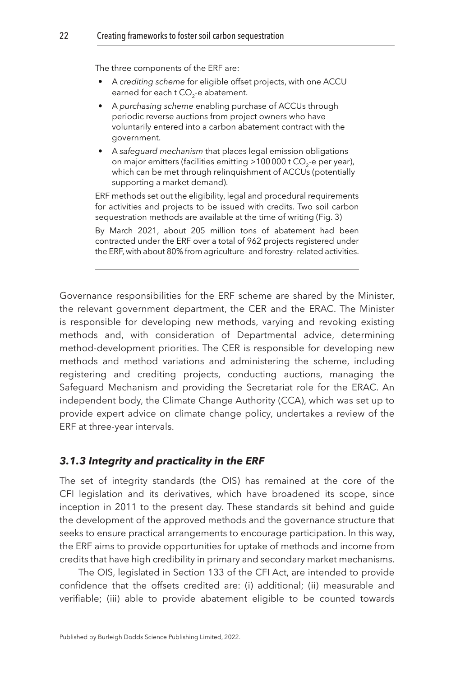The three components of the ERF are:

- A *crediting scheme* for eligible offset projects, with one ACCU earned for each t CO<sub>2</sub>-e abatement.
- A *purchasing scheme* enabling purchase of ACCUs through periodic reverse auctions from project owners who have voluntarily entered into a carbon abatement contract with the government.
- A *safeguard mechanism* that places legal emission obligations on major emitters (facilities emitting >100000 t CO<sub>2</sub>-e per year), which can be met through relinquishment of ACCUs (potentially supporting a market demand).

ERF methods set out the eligibility, legal and procedural requirements for activities and projects to be issued with credits. Two soil carbon sequestration methods are available at the time of writing [\(Fig. 3](#page-21-0))

By March 2021, about 205 million tons of abatement had been contracted under the ERF over a total of 962 projects registered under the ERF, with about 80% from agriculture- and forestry- related activities.

Governance responsibilities for the ERF scheme are shared by the Minister, the relevant government department, the CER and the ERAC. The Minister is responsible for developing new methods, varying and revoking existing methods and, with consideration of Departmental advice, determining method-development priorities. The CER is responsible for developing new methods and method variations and administering the scheme, including registering and crediting projects, conducting auctions, managing the Safeguard Mechanism and providing the Secretariat role for the ERAC. An independent body, the Climate Change Authority (CCA), which was set up to provide expert advice on climate change policy, undertakes a review of the ERF at three-year intervals.

#### *3.1.3 Integrity and practicality in the ERF*

The set of integrity standards (the OIS) has remained at the core of the CFI legislation and its derivatives, which have broadened its scope, since inception in 2011 to the present day. These standards sit behind and guide the development of the approved methods and the governance structure that seeks to ensure practical arrangements to encourage participation. In this way, the ERF aims to provide opportunities for uptake of methods and income from credits that have high credibility in primary and secondary market mechanisms.

The OIS, legislated in Section 133 of the CFI Act, are intended to provide confidence that the offsets credited are: (i) additional; (ii) measurable and verifiable; (iii) able to provide abatement eligible to be counted towards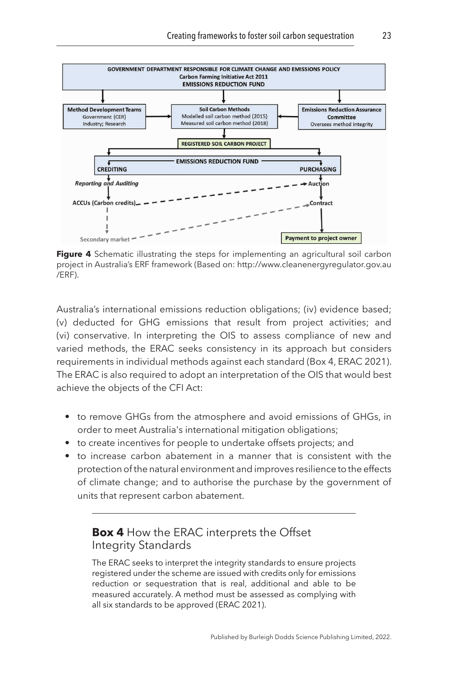

**Figure 4** Schematic illustrating the steps for implementing an agricultural soil carbon project in Australia's ERF framework (Based on: http://www.cleanenergyregulator.gov.au /ERF).

Australia's international emissions reduction obligations; (iv) evidence based; (v) deducted for GHG emissions that result from project activities; and (vi) conservative. In interpreting the OIS to assess compliance of new and varied methods, the ERAC seeks consistency in its approach but considers requirements in individual methods against each standard (Box 4, [ERAC 2021](#page-36-14)). The ERAC is also required to adopt an interpretation of the OIS that would best achieve the objects of the CFI Act:

- to remove GHGs from the atmosphere and avoid emissions of GHGs, in order to meet Australia's international mitigation obligations;
- to create incentives for people to undertake offsets projects; and
- to increase carbon abatement in a manner that is consistent with the protection of the natural environment and improves resilience to the effects of climate change; and to authorise the purchase by the government of units that represent carbon abatement.

# **Box 4** How the ERAC interprets the Offset Integrity Standards

The ERAC seeks to interpret the integrity standards to ensure projects registered under the scheme are issued with credits only for emissions reduction or sequestration that is real, additional and able to be measured accurately. A method must be assessed as complying with all six standards to be approved ([ERAC 2021\)](#page-36-14).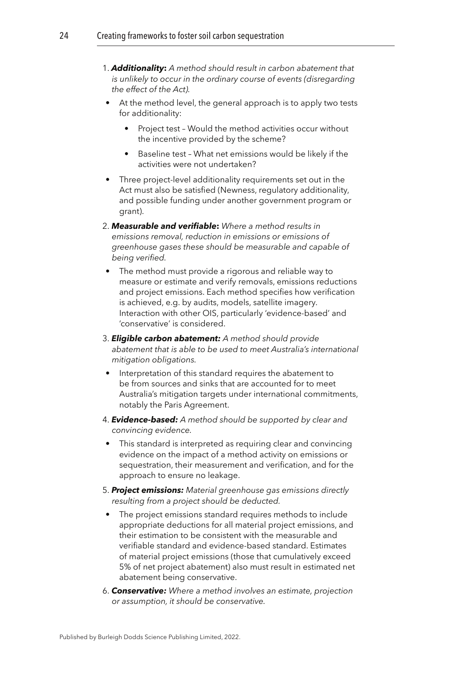- 1. *Additionality***:** *A method should result in carbon abatement that is unlikely to occur in the ordinary course of events (disregarding the effect of the Act).*
- At the method level, the general approach is to apply two tests for additionality:
	- Project test Would the method activities occur without the incentive provided by the scheme?
	- Baseline test What net emissions would be likely if the activities were not undertaken?
- Three project-level additionality requirements set out in the Act must also be satisfied (Newness, regulatory additionality, and possible funding under another government program or grant).
- 2. *Measurable and verifiable***:** *Where a method results in emissions removal, reduction in emissions or emissions of greenhouse gases these should be measurable and capable of being verified.*
- The method must provide a rigorous and reliable way to measure or estimate and verify removals, emissions reductions and project emissions. Each method specifies how verification is achieved, e.g. by audits, models, satellite imagery. Interaction with other OIS, particularly 'evidence-based' and 'conservative' is considered.
- 3. *Eligible carbon abatement: A method should provide abatement that is able to be used to meet Australia's international mitigation obligations.*
- Interpretation of this standard requires the abatement to be from sources and sinks that are accounted for to meet Australia's mitigation targets under international commitments, notably the Paris Agreement.
- 4. *Evidence-based: A method should be supported by clear and convincing evidence.*
- This standard is interpreted as requiring clear and convincing evidence on the impact of a method activity on emissions or sequestration, their measurement and verification, and for the approach to ensure no leakage.
- 5. *Project emissions: Material greenhouse gas emissions directly resulting from a project should be deducted.*
	- The project emissions standard requires methods to include appropriate deductions for all material project emissions, and their estimation to be consistent with the measurable and verifiable standard and evidence-based standard. Estimates of material project emissions (those that cumulatively exceed 5% of net project abatement) also must result in estimated net abatement being conservative.
- 6. *Conservative: Where a method involves an estimate, projection or assumption, it should be conservative.*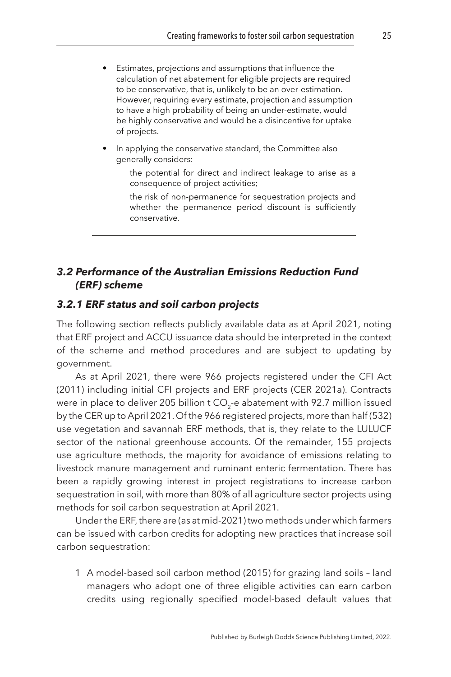- Estimates, projections and assumptions that influence the calculation of net abatement for eligible projects are required to be conservative, that is, unlikely to be an over-estimation. However, requiring every estimate, projection and assumption to have a high probability of being an under-estimate, would be highly conservative and would be a disincentive for uptake of projects.
- In applying the conservative standard, the Committee also generally considers:
	- the potential for direct and indirect leakage to arise as a consequence of project activities;
	- the risk of non-permanence for sequestration projects and whether the permanence period discount is sufficiently conservative.

#### *3.2 Performance of the Australian Emissions Reduction Fund (ERF) scheme*

#### *3.2.1 ERF status and soil carbon projects*

The following section reflects publicly available data as at April 2021, noting that ERF project and ACCU issuance data should be interpreted in the context of the scheme and method procedures and are subject to updating by government.

As at April 2021, there were 966 projects registered under the CFI Act (2011) including initial CFI projects and ERF projects ([CER 2021a\)](#page-34-13). Contracts were in place to deliver 205 billion t  $CO<sub>2</sub>$ -e abatement with 92.7 million issued by the CER up to April 2021. Of the 966 registered projects, more than half (532) use vegetation and savannah ERF methods, that is, they relate to the LULUCF sector of the national greenhouse accounts. Of the remainder, 155 projects use agriculture methods, the majority for avoidance of emissions relating to livestock manure management and ruminant enteric fermentation. There has been a rapidly growing interest in project registrations to increase carbon sequestration in soil, with more than 80% of all agriculture sector projects using methods for soil carbon sequestration at April 2021.

Under the ERF, there are (as at mid-2021) two methods under which farmers can be issued with carbon credits for adopting new practices that increase soil carbon sequestration:

1 A model-based soil carbon method (2015) for grazing land soils – land managers who adopt one of three eligible activities can earn carbon credits using regionally specified model-based default values that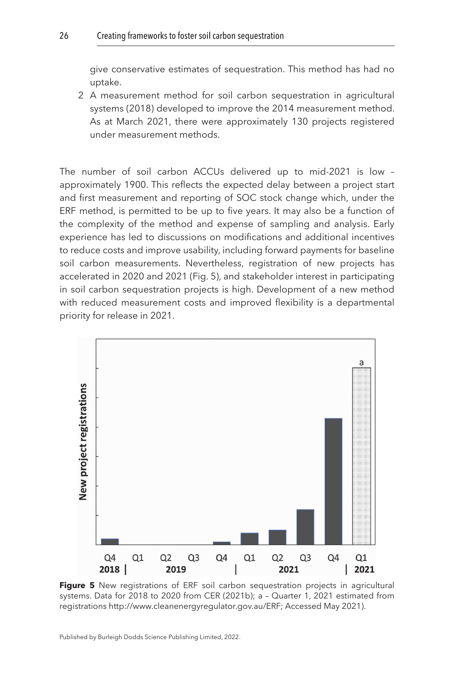give conservative estimates of sequestration. This method has had no uptake.

2 A measurement method for soil carbon sequestration in agricultural systems (2018) developed to improve the 2014 measurement method. As at March 2021, there were approximately 130 projects registered under measurement methods.

The number of soil carbon ACCUs delivered up to mid-2021 is low – approximately 1900. This reflects the expected delay between a project start and first measurement and reporting of SOC stock change which, under the ERF method, is permitted to be up to five years. It may also be a function of the complexity of the method and expense of sampling and analysis. Early experience has led to discussions on modifications and additional incentives to reduce costs and improve usability, including forward payments for baseline soil carbon measurements. Nevertheless, registration of new projects has accelerated in 2020 and 2021 (Fig. 5), and stakeholder interest in participating in soil carbon sequestration projects is high. Development of a new method with reduced measurement costs and improved flexibility is a departmental priority for release in 2021.



**Figure 5** New registrations of ERF soil carbon sequestration projects in agricultural systems. Data for 2018 to 2020 from [CER \(2021b\)](#page-34-14); a – Quarter 1, 2021 estimated from registrations <http://www.cleanenergyregulator.gov.au/ERF;> Accessed May 2021).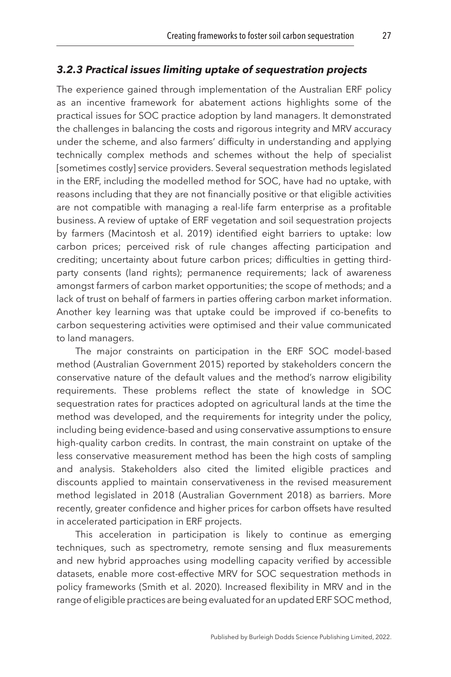#### *3.2.3 Practical issues limiting uptake of sequestration projects*

The experience gained through implementation of the Australian ERF policy as an incentive framework for abatement actions highlights some of the practical issues for SOC practice adoption by land managers. It demonstrated the challenges in balancing the costs and rigorous integrity and MRV accuracy under the scheme, and also farmers' difficulty in understanding and applying technically complex methods and schemes without the help of specialist [sometimes costly] service providers. Several sequestration methods legislated in the ERF, including the modelled method for SOC, have had no uptake, with reasons including that they are not financially positive or that eligible activities are not compatible with managing a real-life farm enterprise as a profitable business. A review of uptake of ERF vegetation and soil sequestration projects by farmers [\(Macintosh et al. 2019\)](#page-38-8) identified eight barriers to uptake: low carbon prices; perceived risk of rule changes affecting participation and crediting; uncertainty about future carbon prices; difficulties in getting thirdparty consents (land rights); permanence requirements; lack of awareness amongst farmers of carbon market opportunities; the scope of methods; and a lack of trust on behalf of farmers in parties offering carbon market information. Another key learning was that uptake could be improved if co-benefits to carbon sequestering activities were optimised and their value communicated to land managers.

The major constraints on participation in the ERF SOC model-based method [\(Australian Government 2015](#page-33-13)) reported by stakeholders concern the conservative nature of the default values and the method's narrow eligibility requirements. These problems reflect the state of knowledge in SOC sequestration rates for practices adopted on agricultural lands at the time the method was developed, and the requirements for integrity under the policy, including being evidence-based and using conservative assumptions to ensure high-quality carbon credits. In contrast, the main constraint on uptake of the less conservative measurement method has been the high costs of sampling and analysis. Stakeholders also cited the limited eligible practices and discounts applied to maintain conservativeness in the revised measurement method legislated in 2018 ([Australian Government 2018](#page-33-4)) as barriers. More recently, greater confidence and higher prices for carbon offsets have resulted in accelerated participation in ERF projects.

This acceleration in participation is likely to continue as emerging techniques, such as spectrometry, remote sensing and flux measurements and new hybrid approaches using modelling capacity verified by accessible datasets, enable more cost-effective MRV for SOC sequestration methods in policy frameworks ([Smith et al. 2020](#page-41-8)). Increased flexibility in MRV and in the range of eligible practices are being evaluated for an updated ERF SOC method,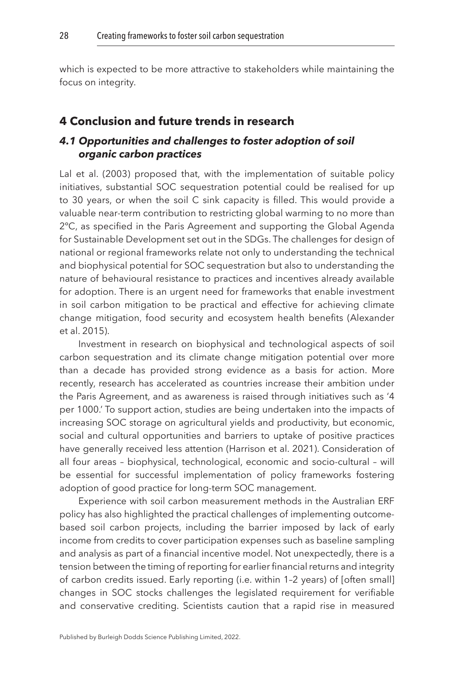which is expected to be more attractive to stakeholders while maintaining the focus on integrity.

#### <span id="page-28-0"></span>**[4 Conclusion and future trends in research](#page-1-4)**

#### *4.1 Opportunities and challenges to foster adoption of soil organic carbon practices*

Lal et al. (2003) proposed that, with the implementation of suitable policy initiatives, substantial SOC sequestration potential could be realised for up to 30 years, or when the soil C sink capacity is filled. This would provide a valuable near-term contribution to restricting global warming to no more than 2ºC, as specified in the Paris Agreement and supporting the Global Agenda for Sustainable Development set out in the SDGs. The challenges for design of national or regional frameworks relate not only to understanding the technical and biophysical potential for SOC sequestration but also to understanding the nature of behavioural resistance to practices and incentives already available for adoption. There is an urgent need for frameworks that enable investment in soil carbon mitigation to be practical and effective for achieving climate change mitigation, food security and ecosystem health benefits [\(Alexander](#page-33-6)  [et al. 2015\)](#page-33-6).

Investment in research on biophysical and technological aspects of soil carbon sequestration and its climate change mitigation potential over more than a decade has provided strong evidence as a basis for action. More recently, research has accelerated as countries increase their ambition under the Paris Agreement, and as awareness is raised through initiatives such as '4 per 1000.' To support action, studies are being undertaken into the impacts of increasing SOC storage on agricultural yields and productivity, but economic, social and cultural opportunities and barriers to uptake of positive practices have generally received less attention ([Harrison et al. 2021](#page-37-8)). Consideration of all four areas – biophysical, technological, economic and socio-cultural – will be essential for successful implementation of policy frameworks fostering adoption of good practice for long-term SOC management.

Experience with soil carbon measurement methods in the Australian ERF policy has also highlighted the practical challenges of implementing outcomebased soil carbon projects, including the barrier imposed by lack of early income from credits to cover participation expenses such as baseline sampling and analysis as part of a financial incentive model. Not unexpectedly, there is a tension between the timing of reporting for earlier financial returns and integrity of carbon credits issued. Early reporting (i.e. within 1–2 years) of [often small] changes in SOC stocks challenges the legislated requirement for verifiable and conservative crediting. Scientists caution that a rapid rise in measured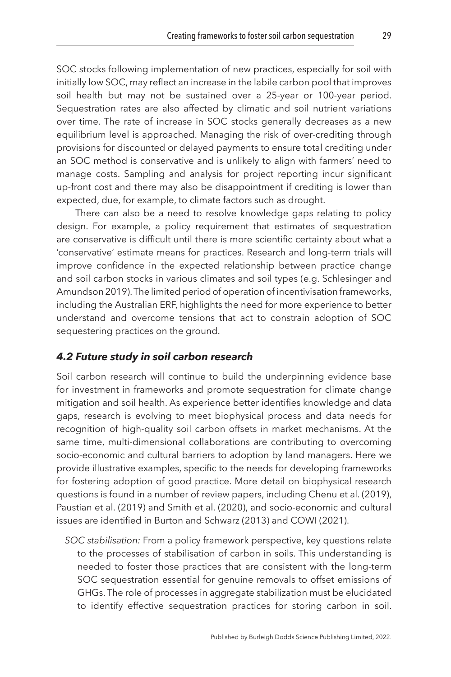SOC stocks following implementation of new practices, especially for soil with initially low SOC, may reflect an increase in the labile carbon pool that improves soil health but may not be sustained over a 25-year or 100-year period. Sequestration rates are also affected by climatic and soil nutrient variations over time. The rate of increase in SOC stocks generally decreases as a new equilibrium level is approached. Managing the risk of over-crediting through provisions for discounted or delayed payments to ensure total crediting under an SOC method is conservative and is unlikely to align with farmers' need to manage costs. Sampling and analysis for project reporting incur significant up-front cost and there may also be disappointment if crediting is lower than expected, due, for example, to climate factors such as drought.

There can also be a need to resolve knowledge gaps relating to policy design. For example, a policy requirement that estimates of sequestration are conservative is difficult until there is more scientific certainty about what a 'conservative' estimate means for practices. Research and long-term trials will improve confidence in the expected relationship between practice change and soil carbon stocks in various climates and soil types (e.g. [Schlesinger and](#page-40-15)  [Amundson 2019](#page-40-15)). The limited period of operation of incentivisation frameworks, including the Australian ERF, highlights the need for more experience to better understand and overcome tensions that act to constrain adoption of SOC sequestering practices on the ground.

#### *4.2 Future study in soil carbon research*

Soil carbon research will continue to build the underpinning evidence base for investment in frameworks and promote sequestration for climate change mitigation and soil health. As experience better identifies knowledge and data gaps, research is evolving to meet biophysical process and data needs for recognition of high-quality soil carbon offsets in market mechanisms. At the same time, multi-dimensional collaborations are contributing to overcoming socio-economic and cultural barriers to adoption by land managers. Here we provide illustrative examples, specific to the needs for developing frameworks for fostering adoption of good practice. More detail on biophysical research questions is found in a number of review papers, including [Chenu et al. \(2019\),](#page-35-4) [Paustian et al. \(2019\)](#page-39-2) and [Smith et al. \(2020\),](#page-41-8) and socio-economic and cultural issues are identified in Burton and Schwarz ([2013\)](#page-34-7) and COWI ([2021\)](#page-35-6).

*SOC stabilisation:* From a policy framework perspective, key questions relate to the processes of stabilisation of carbon in soils. This understanding is needed to foster those practices that are consistent with the long-term SOC sequestration essential for genuine removals to offset emissions of GHGs. The role of processes in aggregate stabilization must be elucidated to identify effective sequestration practices for storing carbon in soil.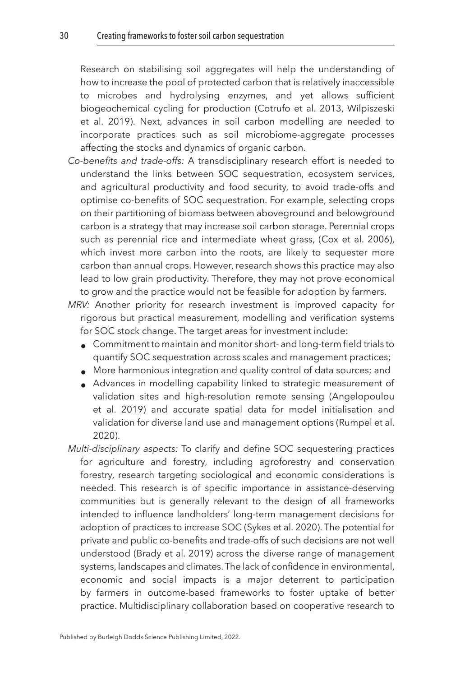Research on stabilising soil aggregates will help the understanding of how to increase the pool of protected carbon that is relatively inaccessible to microbes and hydrolysing enzymes, and yet allows sufficient biogeochemical cycling for production [\(Cotrufo et al. 2013](#page-35-11), [Wilpiszeski](#page-42-4)  [et al. 2019](#page-42-4)). Next, advances in soil carbon modelling are needed to incorporate practices such as soil microbiome-aggregate processes affecting the stocks and dynamics of organic carbon.

- *Co-benefits and trade-offs:* A transdisciplinary research effort is needed to understand the links between SOC sequestration, ecosystem services, and agricultural productivity and food security, to avoid trade-offs and optimise co-benefits of SOC sequestration. For example, selecting crops on their partitioning of biomass between aboveground and belowground carbon is a strategy that may increase soil carbon storage. Perennial crops such as perennial rice and intermediate wheat grass, [\(Cox et al. 2006](#page-35-12)), which invest more carbon into the roots, are likely to sequester more carbon than annual crops. However, research shows this practice may also lead to low grain productivity. Therefore, they may not prove economical to grow and the practice would not be feasible for adoption by farmers.
- *MRV:* Another priority for research investment is improved capacity for rigorous but practical measurement, modelling and verification systems for SOC stock change. The target areas for investment include:
	- Commitment to maintain and monitor short- and long-term field trials to quantify SOC sequestration across scales and management practices;
	- More harmonious integration and quality control of data sources; and
	- Advances in modelling capability linked to strategic measurement of validation sites and high-resolution remote sensing [\(Angelopoulou](#page-33-9)  [et al. 2019\)](#page-33-9) and accurate spatial data for model initialisation and validation for diverse land use and management options ([Rumpel et al.](#page-40-7)  [2020\)](#page-40-7).
- *Multi-disciplinary aspects:* To clarify and define SOC sequestering practices for agriculture and forestry, including agroforestry and conservation forestry, research targeting sociological and economic considerations is needed. This research is of specific importance in assistance-deserving communities but is generally relevant to the design of all frameworks intended to influence landholders' long-term management decisions for adoption of practices to increase SOC [\(Sykes et al. 2020\)](#page-41-11). The potential for private and public co-benefits and trade-offs of such decisions are not well understood [\(Brady et al. 2019\)](#page-34-11) across the diverse range of management systems, landscapes and climates. The lack of confidence in environmental, economic and social impacts is a major deterrent to participation by farmers in outcome-based frameworks to foster uptake of better practice. Multidisciplinary collaboration based on cooperative research to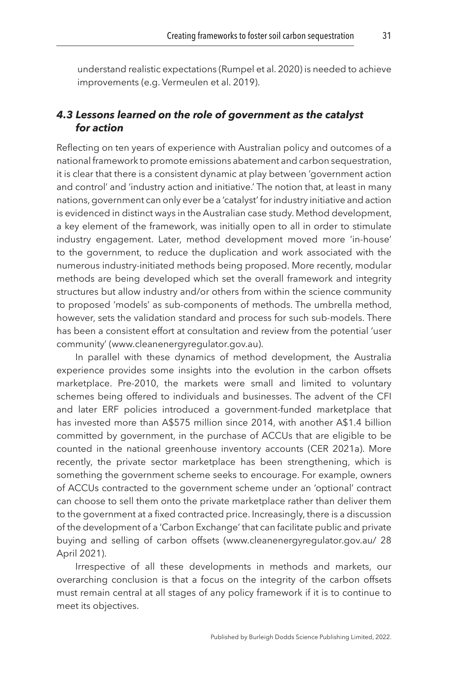understand realistic expectations ([Rumpel et al. 2020](#page-40-7)) is needed to achieve improvements (e.g. [Vermeulen et al. 2019](#page-42-5)).

# *4.3 Lessons learned on the role of government as the catalyst for action*

Reflecting on ten years of experience with Australian policy and outcomes of a national framework to promote emissions abatement and carbon sequestration, it is clear that there is a consistent dynamic at play between 'government action and control' and 'industry action and initiative.' The notion that, at least in many nations, government can only ever be a 'catalyst' for industry initiative and action is evidenced in distinct ways in the Australian case study. Method development, a key element of the framework, was initially open to all in order to stimulate industry engagement. Later, method development moved more 'in-house' to the government, to reduce the duplication and work associated with the numerous industry-initiated methods being proposed. More recently, modular methods are being developed which set the overall framework and integrity structures but allow industry and/or others from within the science community to proposed 'models' as sub-components of methods. The umbrella method, however, sets the validation standard and process for such sub-models. There has been a consistent effort at consultation and review from the potential 'user community' [\(www.cleanenergyregulator.gov.au\).](http://(www.cleanenergyregulator.gov.au))

In parallel with these dynamics of method development, the Australia experience provides some insights into the evolution in the carbon offsets marketplace. Pre-2010, the markets were small and limited to voluntary schemes being offered to individuals and businesses. The advent of the CFI and later ERF policies introduced a government-funded marketplace that has invested more than A\$575 million since 2014, with another A\$1.4 billion committed by government, in the purchase of ACCUs that are eligible to be counted in the national greenhouse inventory accounts ([CER 2021a\)](#page-34-13). More recently, the private sector marketplace has been strengthening, which is something the government scheme seeks to encourage. For example, owners of ACCUs contracted to the government scheme under an 'optional' contract can choose to sell them onto the private marketplace rather than deliver them to the government at a fixed contracted price. Increasingly, there is a discussion of the development of a 'Carbon Exchange' that can facilitate public and private buying and selling of carbon offsets (www.cleanenergyregulator.gov.au/ 28 April 2021).

Irrespective of all these developments in methods and markets, our overarching conclusion is that a focus on the integrity of the carbon offsets must remain central at all stages of any policy framework if it is to continue to meet its objectives.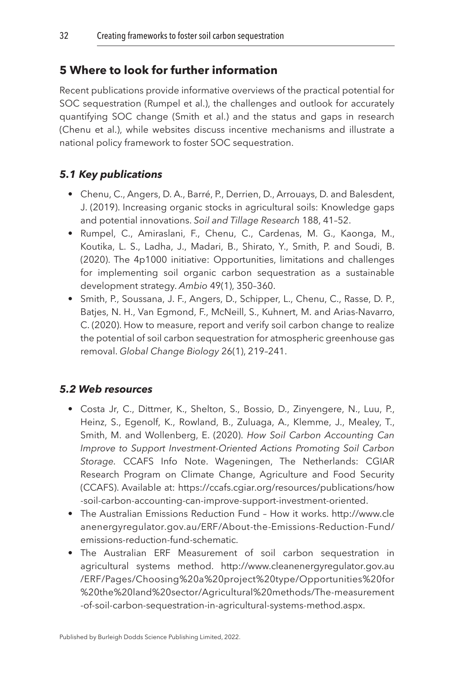# <span id="page-32-0"></span>**[5 Where to look for further information](#page-1-5)**

Recent publications provide informative overviews of the practical potential for SOC sequestration (Rumpel et al.), the challenges and outlook for accurately quantifying SOC change (Smith et al.) and the status and gaps in research (Chenu et al.), while websites discuss incentive mechanisms and illustrate a national policy framework to foster SOC sequestration.

# *5.1 Key publications*

- Chenu, C., Angers, D. A., Barré, P., Derrien, D., Arrouays, D. and Balesdent, J. (2019). Increasing organic stocks in agricultural soils: Knowledge gaps and potential innovations. *Soil and Tillage Research* 188, 41–52.
- Rumpel, C., Amiraslani, F., Chenu, C., Cardenas, M. G., Kaonga, M., Koutika, L. S., Ladha, J., Madari, B., Shirato, Y., Smith, P. and Soudi, B. (2020). The 4p1000 initiative: Opportunities, limitations and challenges for implementing soil organic carbon sequestration as a sustainable development strategy. *Ambio* 49(1), 350–360.
- Smith, P., Soussana, J. F., Angers, D., Schipper, L., Chenu, C., Rasse, D. P., Batjes, N. H., Van Egmond, F., McNeill, S., Kuhnert, M. and Arias-Navarro, C. (2020). How to measure, report and verify soil carbon change to realize the potential of soil carbon sequestration for atmospheric greenhouse gas removal. *Global Change Biology* 26(1), 219–241.

# *5.2 Web resources*

- Costa Jr, C., Dittmer, K., Shelton, S., Bossio, D., Zinyengere, N., Luu, P., Heinz, S., Egenolf, K., Rowland, B., Zuluaga, A., Klemme, J., Mealey, T., Smith, M. and Wollenberg, E. (2020). *How Soil Carbon Accounting Can Improve to Support Investment-Oriented Actions Promoting Soil Carbon Storage.* CCAFS Info Note. Wageningen, The Netherlands: CGIAR Research Program on Climate Change, Agriculture and Food Security (CCAFS). Available at: [https://ccafs.cgiar.org/resources/publications/how](https://ccafs.cgiar.org/resources/publications/how-soil-carbon-accounting-can-improve-support-investment-oriented) [-soil-carbon-accounting-can-improve-support-investment-oriented.](https://ccafs.cgiar.org/resources/publications/how-soil-carbon-accounting-can-improve-support-investment-oriented)
- The Australian Emissions Reduction Fund How it works. [http://www.cle](http://www.cleanenergyregulator.gov.au/ERF/About-the-Emissions-Reduction-Fund/emissions-reduction-fund-schematic) [anenergyregulator.gov.au/ERF/About-the-Emissions-Reduction-Fund/](http://www.cleanenergyregulator.gov.au/ERF/About-the-Emissions-Reduction-Fund/emissions-reduction-fund-schematic) [emissions-reduction-fund-schematic.](http://www.cleanenergyregulator.gov.au/ERF/About-the-Emissions-Reduction-Fund/emissions-reduction-fund-schematic)
- The Australian ERF Measurement of soil carbon sequestration in agricultural systems method. [http://www.cleanenergyregulator.gov.au](http://www.cleanenergyregulator.gov.au/ERF/Pages/Choosing%20a%20project%20type/Opportunities%20for%20the%20land%20sector/Agricultural%20methods/The-measurement-of-soil-carbon-sequestration-in-agricultural-systems-method.aspx) [/ERF/Pages/Choosing%20a%20project%20type/Opportunities%20for](http://www.cleanenergyregulator.gov.au/ERF/Pages/Choosing%20a%20project%20type/Opportunities%20for%20the%20land%20sector/Agricultural%20methods/The-measurement-of-soil-carbon-sequestration-in-agricultural-systems-method.aspx) [%20the%20land%20sector/Agricultural%20methods/The-measurement](http://www.cleanenergyregulator.gov.au/ERF/Pages/Choosing%20a%20project%20type/Opportunities%20for%20the%20land%20sector/Agricultural%20methods/The-measurement-of-soil-carbon-sequestration-in-agricultural-systems-method.aspx) [-of-soil-carbon-sequestration-in-agricultural-systems-method.aspx.](http://www.cleanenergyregulator.gov.au/ERF/Pages/Choosing%20a%20project%20type/Opportunities%20for%20the%20land%20sector/Agricultural%20methods/The-measurement-of-soil-carbon-sequestration-in-agricultural-systems-method.aspx)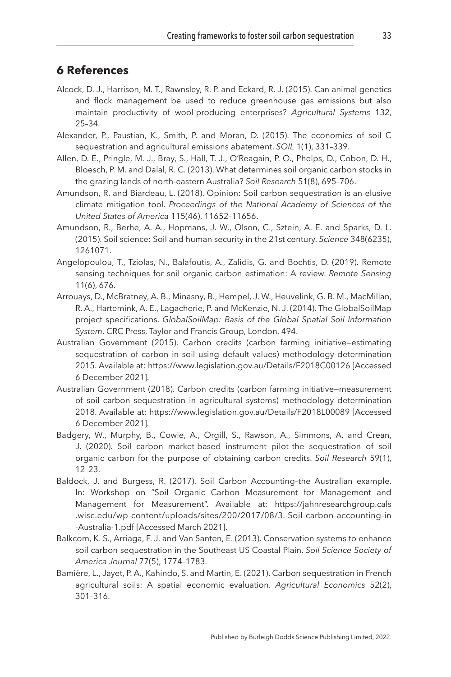# <span id="page-33-0"></span>**[6 References](#page-1-6)**

- <span id="page-33-10"></span>Alcock, D. J., Harrison, M. T., Rawnsley, R. P. and Eckard, R. J. (2015). Can animal genetics and flock management be used to reduce greenhouse gas emissions but also maintain productivity of wool-producing enterprises? *Agricultural Systems* 132, 25–34.
- <span id="page-33-6"></span>Alexander, P., Paustian, K., Smith, P. and Moran, D. (2015). The economics of soil C sequestration and agricultural emissions abatement. *SOIL* 1(1), 331–339.
- <span id="page-33-8"></span>Allen, D. E., Pringle, M. J., Bray, S., Hall, T. J., O'Reagain, P. O., Phelps, D., Cobon, D. H., Bloesch, P. M. and Dalal, R. C. (2013). What determines soil organic carbon stocks in the grazing lands of north-eastern Australia? *Soil Research* 51(8), 695–706.
- <span id="page-33-12"></span>Amundson, R. and Biardeau, L. (2018). Opinion: Soil carbon sequestration is an elusive climate mitigation tool. *Proceedings of the National Academy of Sciences of the United States of America* 115(46), 11652–11656.
- <span id="page-33-3"></span>Amundson, R., Berhe, A. A., Hopmans, J. W., Olson, C., Sztein, A. E. and Sparks, D. L. (2015). Soil science: Soil and human security in the 21st century. *Science* 348(6235), 1261071.
- <span id="page-33-9"></span>Angelopoulou, T., Tziolas, N., Balafoutis, A., Zalidis, G. and Bochtis, D. (2019). Remote sensing techniques for soil organic carbon estimation: A review. *Remote Sensing* 11(6), 676.
- <span id="page-33-2"></span>Arrouays, D., McBratney, A. B., Minasny, B., Hempel, J. W., Heuvelink, G. B. M., MacMillan, R. A., Hartemink, A. E., Lagacherie, P. and McKenzie, N. J. (2014). The GlobalSoilMap project specifications. *GlobalSoilMap: Basis of the Global Spatial Soil Information System*. CRC Press, Taylor and Francis Group, London, 494.
- <span id="page-33-13"></span>Australian Government (2015). Carbon credits (carbon farming initiative—estimating sequestration of carbon in soil using default values) methodology determination 2015. Available at:<https://www.legislation.gov.au/Details/F2018C00126>[Accessed 6 December 2021].
- <span id="page-33-4"></span>Australian Government (2018). Carbon credits (carbon farming initiative—measurement of soil carbon sequestration in agricultural systems) methodology determination 2018. Available at: <https://www.legislation.gov.au/Details/F2018L00089> [Accessed 6 December 2021].
- <span id="page-33-5"></span>Badgery, W., Murphy, B., Cowie, A., Orgill, S., Rawson, A., Simmons, A. and Crean, J. (2020). Soil carbon market-based instrument pilot–the sequestration of soil organic carbon for the purpose of obtaining carbon credits. *Soil Research* 59(1), 12–23.
- <span id="page-33-7"></span>Baldock, J. and Burgess, R. (2017). Soil Carbon Accounting–the Australian example. In: Workshop on "Soil Organic Carbon Measurement for Management and Management for Measurement". Available at: [https://jahnresearchgroup.cals](https://jahnresearchgroup.cals.wisc.edu/wp-content/uploads/sites/200/2017/08/3.-Soil-carbon-accounting-in-Australia-1.pdf) [.wisc.edu/wp-content/uploads/sites/200/2017/08/3.-Soil-carbon-accounting-in](https://jahnresearchgroup.cals.wisc.edu/wp-content/uploads/sites/200/2017/08/3.-Soil-carbon-accounting-in-Australia-1.pdf) [-Australia-1.pdf](https://jahnresearchgroup.cals.wisc.edu/wp-content/uploads/sites/200/2017/08/3.-Soil-carbon-accounting-in-Australia-1.pdf) [Accessed March 2021].
- <span id="page-33-1"></span>Balkcom, K. S., Arriaga, F. J. and Van Santen, E. (2013). Conservation systems to enhance soil carbon sequestration in the Southeast US Coastal Plain. *Soil Science Society of America Journal* 77(5), 1774–1783.
- <span id="page-33-11"></span>Bamière, L., Jayet, P. A., Kahindo, S. and Martin, E. (2021). Carbon sequestration in French agricultural soils: A spatial economic evaluation. *Agricultural Economics* 52(2), 301–316.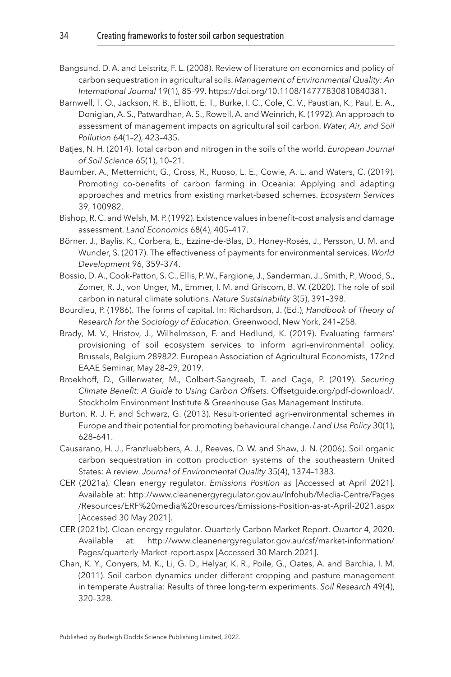- <span id="page-34-9"></span>Bangsund, D. A. and Leistritz, F. L. (2008). Review of literature on economics and policy of carbon sequestration in agricultural soils. *Management of Environmental Quality: An International Journal* 19(1), 85–99. [https://doi.org/10.1108/14777830810840381](http://dx.doi.org/https://doi.org/10.1108/14777830810840381).
- <span id="page-34-1"></span>Barnwell, T. O., Jackson, R. B., Elliott, E. T., Burke, I. C., Cole, C. V., Paustian, K., Paul, E. A., Donigian, A. S., Patwardhan, A. S., Rowell, A. and Weinrich, K. (1992). An approach to assessment of management impacts on agricultural soil carbon. *Water, Air, and Soil Pollution* 64(1–2), 423–435.
- <span id="page-34-8"></span>Batjes, N. H. (2014). Total carbon and nitrogen in the soils of the world. *European Journal of Soil Science* 65(1), 10–21.
- <span id="page-34-6"></span>Baumber, A., Metternicht, G., Cross, R., Ruoso, L. E., Cowie, A. L. and Waters, C. (2019). Promoting co-benefits of carbon farming in Oceania: Applying and adapting approaches and metrics from existing market-based schemes. *Ecosystem Services* 39, 100982.
- <span id="page-34-5"></span>Bishop, R. C. and Welsh, M. P. (1992). Existence values in benefit–cost analysis and damage assessment. *Land Economics* 68(4), 405–417.
- <span id="page-34-12"></span>Börner, J., Baylis, K., Corbera, E., Ezzine-de-Blas, D., Honey-Rosés, J., Persson, U. M. and Wunder, S. (2017). The effectiveness of payments for environmental services. *World Development* 96, 359–374.
- <span id="page-34-0"></span>Bossio, D. A., Cook-Patton, S. C., Ellis, P. W., Fargione, J., Sanderman, J., Smith, P., Wood, S., Zomer, R. J., von Unger, M., Emmer, I. M. and Griscom, B. W. (2020). The role of soil carbon in natural climate solutions. *Nature Sustainability* 3(5), 391–398.
- <span id="page-34-10"></span>Bourdieu, P. (1986). The forms of capital. In: Richardson, J. (Ed.), *Handbook of Theory of Research for the Sociology of Education*. Greenwood, New York, 241–258.
- <span id="page-34-11"></span>Brady, M. V., Hristov, J., Wilhelmsson, F. and Hedlund, K. (2019). Evaluating farmers' provisioning of soil ecosystem services to inform agri-environmental policy. Brussels, Belgium 289822. European Association of Agricultural Economists, 172nd EAAE Seminar, May 28–29, 2019.
- <span id="page-34-4"></span>Broekhoff, D., Gillenwater, M., Colbert-Sangreeb, T. and Cage, P. (2019). *Securing Climate Benefit: A Guide to Using Carbon Offsets*. [Offsetguide.org/pdf-download/.](http://Offsetguide.org/pdf-download/)  Stockholm Environment Institute & Greenhouse Gas Management Institute.
- <span id="page-34-7"></span>Burton, R. J. F. and Schwarz, G. (2013). Result-oriented agri-environmental schemes in Europe and their potential for promoting behavioural change. *Land Use Policy* 30(1), 628–641.
- <span id="page-34-2"></span>Causarano, H. J., Franzluebbers, A. J., Reeves, D. W. and Shaw, J. N. (2006). Soil organic carbon sequestration in cotton production systems of the southeastern United States: A review. *Journal of Environmental Quality* 35(4), 1374–1383.
- <span id="page-34-13"></span>CER (2021a). Clean energy regulator. *Emissions Position as* [Accessed at April 2021]. Available at: [http://www.cleanenergyregulator.gov.au/Infohub/Media-Centre/Pages](http://www.cleanenergyregulator.gov.au/Infohub/Media-Centre/Pages/Resources/ERF%20media%20resources/Emissions-Position-as-at-April-2021.aspx) [/Resources/ERF%20media%20resources/Emissions-Position-as-at-April-2021.aspx](http://www.cleanenergyregulator.gov.au/Infohub/Media-Centre/Pages/Resources/ERF%20media%20resources/Emissions-Position-as-at-April-2021.aspx)  [Accessed 30 May 2021].
- <span id="page-34-14"></span>CER (2021b). Clean energy regulator. Quarterly Carbon Market Report. *Quarter* 4, 2020. Available at: [http://www.cleanenergyregulator.gov.au/csf/market-information/](http://www.cleanenergyregulator.gov.au/csf/market-information/Pages/quarterly-Market-report.aspx) [Pages/quarterly-Market-report.aspx](http://www.cleanenergyregulator.gov.au/csf/market-information/Pages/quarterly-Market-report.aspx) [Accessed 30 March 2021].
- <span id="page-34-3"></span>Chan, K. Y., Conyers, M. K., Li, G. D., Helyar, K. R., Poile, G., Oates, A. and Barchia, I. M. (2011). Soil carbon dynamics under different cropping and pasture management in temperate Australia: Results of three long-term experiments. *Soil Research* 49(4), 320–328.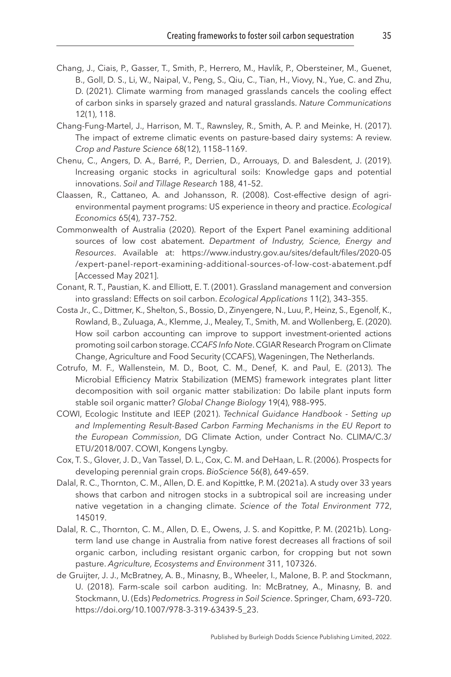- <span id="page-35-5"></span>Chang, J., Ciais, P., Gasser, T., Smith, P., Herrero, M., Havlík, P., Obersteiner, M., Guenet, B., Goll, D. S., Li, W., Naipal, V., Peng, S., Qiu, C., Tian, H., Viovy, N., Yue, C. and Zhu, D. (2021). Climate warming from managed grasslands cancels the cooling effect of carbon sinks in sparsely grazed and natural grasslands. *Nature Communications* 12(1), 118.
- <span id="page-35-10"></span>Chang-Fung-Martel, J., Harrison, M. T., Rawnsley, R., Smith, A. P. and Meinke, H. (2017). The impact of extreme climatic events on pasture-based dairy systems: A review. *Crop and Pasture Science* 68(12), 1158–1169.
- <span id="page-35-4"></span>Chenu, C., Angers, D. A., Barré, P., Derrien, D., Arrouays, D. and Balesdent, J. (2019). Increasing organic stocks in agricultural soils: Knowledge gaps and potential innovations. *Soil and Tillage Research* 188, 41–52.
- <span id="page-35-9"></span>Claassen, R., Cattaneo, A. and Johansson, R. (2008). Cost-effective design of agrienvironmental payment programs: US experience in theory and practice. *Ecological Economics* 65(4), 737–752.
- <span id="page-35-7"></span>Commonwealth of Australia (2020). Report of the Expert Panel examining additional sources of low cost abatement. *Department of Industry, Science, Energy and Resources*. Available at: [https://www.industry.gov.au/sites/default/files/2020-05](https://www.industry.gov.au/sites/default/files/2020-05/expert-panel-report-examining-additional-sources-of-low-cost-abatement.pdf) [/expert-panel-report-examining-additional-sources-of-low-cost-abatement.pdf](https://www.industry.gov.au/sites/default/files/2020-05/expert-panel-report-examining-additional-sources-of-low-cost-abatement.pdf) [Accessed May 2021].
- <span id="page-35-1"></span>Conant, R. T., Paustian, K. and Elliott, E. T. (2001). Grassland management and conversion into grassland: Effects on soil carbon. *Ecological Applications* 11(2), 343–355.
- <span id="page-35-8"></span>Costa Jr., C., Dittmer, K., Shelton, S., Bossio, D., Zinyengere, N., Luu, P., Heinz, S., Egenolf, K., Rowland, B., Zuluaga, A., Klemme, J., Mealey, T., Smith, M. and Wollenberg, E. (2020). How soil carbon accounting can improve to support investment-oriented actions promoting soil carbon storage. *CCAFS Info Note*. CGIAR Research Program on Climate Change, Agriculture and Food Security (CCAFS), Wageningen, The Netherlands.
- <span id="page-35-11"></span>Cotrufo, M. F., Wallenstein, M. D., Boot, C. M., Denef, K. and Paul, E. (2013). The Microbial Efficiency Matrix Stabilization (MEMS) framework integrates plant litter decomposition with soil organic matter stabilization: Do labile plant inputs form stable soil organic matter? *Global Change Biology* 19(4), 988–995.
- <span id="page-35-6"></span>COWI, Ecologic Institute and IEEP (2021). *Technical Guidance Handbook - Setting up and Implementing Result-Based Carbon Farming Mechanisms in the EU Report to the European Commission*, DG Climate Action, under Contract No. CLIMA/C.3/ ETU/2018/007. COWI, Kongens Lyngby.
- <span id="page-35-12"></span>Cox, T. S., Glover, J. D., Van Tassel, D. L., Cox, C. M. and DeHaan, L. R. (2006). Prospects for developing perennial grain crops. *BioScience* 56(8), 649–659.
- <span id="page-35-0"></span>Dalal, R. C., Thornton, C. M., Allen, D. E. and Kopittke, P. M. (2021a). A study over 33 years shows that carbon and nitrogen stocks in a subtropical soil are increasing under native vegetation in a changing climate. *Science of the Total Environment* 772, 145019.
- <span id="page-35-2"></span>Dalal, R. C., Thornton, C. M., Allen, D. E., Owens, J. S. and Kopittke, P. M. (2021b). Longterm land use change in Australia from native forest decreases all fractions of soil organic carbon, including resistant organic carbon, for cropping but not sown pasture. *Agriculture, Ecosystems and Environment* 311, 107326.
- <span id="page-35-3"></span>de Gruijter, J. J., McBratney, A. B., Minasny, B., Wheeler, I., Malone, B. P. and Stockmann, U. (2018). Farm-scale soil carbon auditing. In: McBratney, A., Minasny, B. and Stockmann, U. (Eds) *Pedometrics. Progress in Soil Science*. Springer, Cham, 693–720. [https://doi.org/10.1007/978-3-319-63439-5\\_23](http://dx.doi.org/https://doi.org/10.1007/978-3-319-63439-5_23).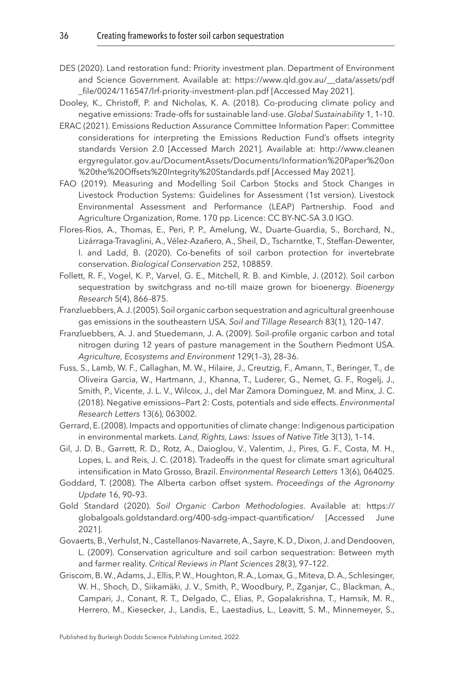- <span id="page-36-9"></span>DES (2020). Land restoration fund: Priority investment plan. Department of Environment and Science Government. Available at: [https://www.qld.gov.au/\\_\\_data/assets/pdf](https://www.qld.gov.au/__data/assets/pdf_file/0024/116547/lrf-priority-investment-plan.pdf) [\\_file/0024/116547/lrf-priority-investment-plan.pdf](https://www.qld.gov.au/__data/assets/pdf_file/0024/116547/lrf-priority-investment-plan.pdf) [Accessed May 2021].
- <span id="page-36-8"></span>Dooley, K., Christoff, P. and Nicholas, K. A. (2018). Co-producing climate policy and negative emissions: Trade-offs for sustainable land-use. *Global Sustainability* 1, 1–10.
- <span id="page-36-14"></span>ERAC (2021). Emissions Reduction Assurance Committee Information Paper: Committee considerations for interpreting the Emissions Reduction Fund's offsets integrity standards Version 2.0 [Accessed March 2021]. Available at: [http://www.cleanen](http://www.cleanenergyregulator.gov.au/DocumentAssets/Documents/Information%20Paper%20on%20the%20Offsets%20Integrity%20Standards.pdf) [ergyregulator.gov.au/DocumentAssets/Documents/Information%20Paper%20on](http://www.cleanenergyregulator.gov.au/DocumentAssets/Documents/Information%20Paper%20on%20the%20Offsets%20Integrity%20Standards.pdf) [%20the%20Offsets%20Integrity%20Standards.pdf](http://www.cleanenergyregulator.gov.au/DocumentAssets/Documents/Information%20Paper%20on%20the%20Offsets%20Integrity%20Standards.pdf) [Accessed May 2021].
- <span id="page-36-12"></span>FAO (2019). Measuring and Modelling Soil Carbon Stocks and Stock Changes in Livestock Production Systems: Guidelines for Assessment (1st version). Livestock Environmental Assessment and Performance (LEAP) Partnership. Food and Agriculture Organization, Rome. 170 pp. Licence: CC BY-NC-SA 3.0 IGO.
- <span id="page-36-10"></span>Flores-Rios, A., Thomas, E., Peri, P. P., Amelung, W., Duarte-Guardia, S., Borchard, N., Lizárraga-Travaglini, A., Vélez-Azañero, A., Sheil, D., Tscharntke, T., Steffan-Dewenter, I. and Ladd, B. (2020). Co-benefits of soil carbon protection for invertebrate conservation. *Biological Conservation* 252, 108859.
- <span id="page-36-4"></span>Follett, R. F., Vogel, K. P., Varvel, G. E., Mitchell, R. B. and Kimble, J. (2012). Soil carbon sequestration by switchgrass and no-till maize grown for bioenergy. *Bioenergy Research* 5(4), 866–875.
- <span id="page-36-2"></span>Franzluebbers, A. J. (2005). Soil organic carbon sequestration and agricultural greenhouse gas emissions in the southeastern USA. *Soil and Tillage Research* 83(1), 120–147.
- <span id="page-36-3"></span>Franzluebbers, A. J. and Stuedemann, J. A. (2009). Soil-profile organic carbon and total nitrogen during 12 years of pasture management in the Southern Piedmont USA. *Agriculture, Ecosystems and Environment* 129(1–3), 28–36.
- <span id="page-36-1"></span>Fuss, S., Lamb, W. F., Callaghan, M. W., Hilaire, J., Creutzig, F., Amann, T., Beringer, T., de Oliveira Garcia, W., Hartmann, J., Khanna, T., Luderer, G., Nemet, G. F., Rogelj, J., Smith, P., Vicente, J. L. V., Wilcox, J., del Mar Zamora Dominguez, M. and Minx, J. C. (2018). Negative emissions—Part 2: Costs, potentials and side effects. *Environmental Research Letters* 13(6), 063002.
- <span id="page-36-13"></span>Gerrard, E. (2008). Impacts and opportunities of climate change: Indigenous participation in environmental markets. *Land, Rights, Laws: Issues of Native Title* 3(13), 1–14.
- <span id="page-36-5"></span>Gil, J. D. B., Garrett, R. D., Rotz, A., Daioglou, V., Valentim, J., Pires, G. F., Costa, M. H., Lopes, L. and Reis, J. C. (2018). Tradeoffs in the quest for climate smart agricultural intensification in Mato Grosso, Brazil. *Environmental Research Letters* 13(6), 064025.
- <span id="page-36-6"></span>Goddard, T. (2008). The Alberta carbon offset system. *Proceedings of the Agronomy Update* 16, 90–93.
- <span id="page-36-7"></span>Gold Standard (2020). *Soil Organic Carbon Methodologies*. Available at: [https://](https://globalgoals.goldstandard.org/400-sdg-impact-quantification/) [globalgoals.goldstandard.org/400-sdg-impact-quantification/](https://globalgoals.goldstandard.org/400-sdg-impact-quantification/) [Accessed June 2021].
- <span id="page-36-11"></span>Govaerts, B., Verhulst, N., Castellanos-Navarrete, A., Sayre, K. D., Dixon, J. and Dendooven, L. (2009). Conservation agriculture and soil carbon sequestration: Between myth and farmer reality. *Critical Reviews in Plant Sciences* 28(3), 97–122.
- <span id="page-36-0"></span>Griscom, B. W., Adams, J., Ellis, P. W., Houghton, R. A., Lomax, G., Miteva, D. A., Schlesinger, W. H., Shoch, D., Siikamäki, J. V., Smith, P., Woodbury, P., Zganjar, C., Blackman, A., Campari, J., Conant, R. T., Delgado, C., Elias, P., Gopalakrishna, T., Hamsik, M. R., Herrero, M., Kiesecker, J., Landis, E., Laestadius, L., Leavitt, S. M., Minnemeyer, S.,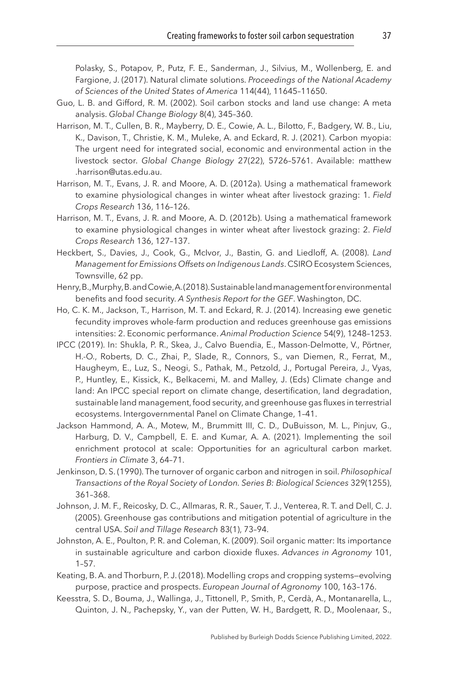Polasky, S., Potapov, P., Putz, F. E., Sanderman, J., Silvius, M., Wollenberg, E. and Fargione, J. (2017). Natural climate solutions. *Proceedings of the National Academy of Sciences of the United States of America* 114(44), 11645–11650.

- <span id="page-37-4"></span>Guo, L. B. and Gifford, R. M. (2002). Soil carbon stocks and land use change: A meta analysis. *Global Change Biology* 8(4), 345–360.
- <span id="page-37-8"></span>Harrison, M. T., Cullen, B. R., Mayberry, D. E., Cowie, A. L., Bilotto, F., Badgery, W. B., Liu, K., Davison, T., Christie, K. M., Muleke, A. and Eckard, R. J. (2021). Carbon myopia: The urgent need for integrated social, economic and environmental action in the livestock sector. *Global Change Biology* 27(22), 5726–5761. Available: [matthew](http://matthew.harrison@utas.edu.au) [.harrison@utas.edu.au.](http://matthew.harrison@utas.edu.au)
- <span id="page-37-9"></span>Harrison, M. T., Evans, J. R. and Moore, A. D. (2012a). Using a mathematical framework to examine physiological changes in winter wheat after livestock grazing: 1. *Field Crops Research* 136, 116–126.
- <span id="page-37-10"></span>Harrison, M. T., Evans, J. R. and Moore, A. D. (2012b). Using a mathematical framework to examine physiological changes in winter wheat after livestock grazing: 2. *Field Crops Research* 136, 127–137.
- <span id="page-37-13"></span>Heckbert, S., Davies, J., Cook, G., McIvor, J., Bastin, G. and Liedloff, A. (2008). *Land Management for Emissions Offsets on Indigenous Lands*. CSIRO Ecosystem Sciences, Townsville, 62 pp.
- <span id="page-37-5"></span>Henry, B., Murphy, B. and Cowie, A. (2018). Sustainable land management for environmental benefits and food security. *A Synthesis Report for the GEF*. Washington, DC.
- <span id="page-37-12"></span>Ho, C. K. M., Jackson, T., Harrison, M. T. and Eckard, R. J. (2014). Increasing ewe genetic fecundity improves whole-farm production and reduces greenhouse gas emissions intensities: 2. Economic performance. *Animal Production Science* 54(9), 1248–1253.
- <span id="page-37-0"></span>IPCC (2019). In: Shukla, P. R., Skea, J., Calvo Buendia, E., Masson-Delmotte, V., Pörtner, H.-O., Roberts, D. C., Zhai, P., Slade, R., Connors, S., van Diemen, R., Ferrat, M., Haugheym, E., Luz, S., Neogi, S., Pathak, M., Petzold, J., Portugal Pereira, J., Vyas, P., Huntley, E., Kissick, K., Belkacemi, M. and Malley, J. (Eds) Climate change and land: An IPCC special report on climate change, desertification, land degradation, sustainable land management, food security, and greenhouse gas fluxes in terrestrial ecosystems. Intergovernmental Panel on Climate Change, 1–41.
- <span id="page-37-11"></span>Jackson Hammond, A. A., Motew, M., Brummitt III, C. D., DuBuisson, M. L., Pinjuv, G., Harburg, D. V., Campbell, E. E. and Kumar, A. A. (2021). Implementing the soil enrichment protocol at scale: Opportunities for an agricultural carbon market. *Frontiers in Climate* 3, 64–71.
- <span id="page-37-3"></span>Jenkinson, D. S. (1990). The turnover of organic carbon and nitrogen in soil. *Philosophical Transactions of the Royal Society of London. Series B: Biological Sciences* 329(1255), 361–368.
- <span id="page-37-6"></span>Johnson, J. M. F., Reicosky, D. C., Allmaras, R. R., Sauer, T. J., Venterea, R. T. and Dell, C. J. (2005). Greenhouse gas contributions and mitigation potential of agriculture in the central USA. *Soil and Tillage Research* 83(1), 73–94.
- <span id="page-37-7"></span>Johnston, A. E., Poulton, P. R. and Coleman, K. (2009). Soil organic matter: Its importance in sustainable agriculture and carbon dioxide fluxes. *Advances in Agronomy* 101, 1–57.
- <span id="page-37-2"></span>Keating, B. A. and Thorburn, P. J. (2018). Modelling crops and cropping systems—evolving purpose, practice and prospects. *European Journal of Agronomy* 100, 163–176.
- <span id="page-37-1"></span>Keesstra, S. D., Bouma, J., Wallinga, J., Tittonell, P., Smith, P., Cerdà, A., Montanarella, L., Quinton, J. N., Pachepsky, Y., van der Putten, W. H., Bardgett, R. D., Moolenaar, S.,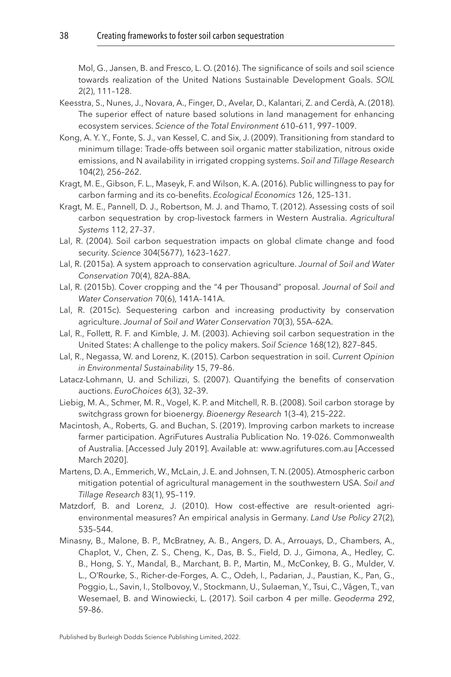Mol, G., Jansen, B. and Fresco, L. O. (2016). The significance of soils and soil science towards realization of the United Nations Sustainable Development Goals. *SOIL* 2(2), 111–128.

- <span id="page-38-1"></span>Keesstra, S., Nunes, J., Novara, A., Finger, D., Avelar, D., Kalantari, Z. and Cerdà, A. (2018). The superior effect of nature based solutions in land management for enhancing ecosystem services. *Science of the Total Environment* 610–611, 997–1009.
- <span id="page-38-9"></span>Kong, A. Y. Y., Fonte, S. J., van Kessel, C. and Six, J. (2009). Transitioning from standard to minimum tillage: Trade-offs between soil organic matter stabilization, nitrous oxide emissions, and N availability in irrigated cropping systems. *Soil and Tillage Research* 104(2), 256–262.
- <span id="page-38-12"></span>Kragt, M. E., Gibson, F. L., Maseyk, F. and Wilson, K. A. (2016). Public willingness to pay for carbon farming and its co-benefits. *Ecological Economics* 126, 125–131.
- <span id="page-38-13"></span>Kragt, M. E., Pannell, D. J., Robertson, M. J. and Thamo, T. (2012). Assessing costs of soil carbon sequestration by crop-livestock farmers in Western Australia. *Agricultural Systems* 112, 27–37.
- <span id="page-38-2"></span>Lal, R. (2004). Soil carbon sequestration impacts on global climate change and food security. *Science* 304(5677), 1623–1627.
- <span id="page-38-4"></span>Lal, R. (2015a). A system approach to conservation agriculture. *Journal of Soil and Water Conservation* 70(4), 82A–88A.
- <span id="page-38-5"></span>Lal, R. (2015b). Cover cropping and the "4 per Thousand" proposal. *Journal of Soil and Water Conservation* 70(6), 141A–141A.
- <span id="page-38-6"></span>Lal, R. (2015c). Sequestering carbon and increasing productivity by conservation agriculture. *Journal of Soil and Water Conservation* 70(3), 55A–62A.
- <span id="page-38-10"></span>Lal, R., Follett, R. F. and Kimble, J. M. (2003). Achieving soil carbon sequestration in the United States: A challenge to the policy makers. *Soil Science* 168(12), 827–845.
- <span id="page-38-11"></span>Lal, R., Negassa, W. and Lorenz, K. (2015). Carbon sequestration in soil. *Current Opinion in Environmental Sustainability* 15, 79–86.
- <span id="page-38-14"></span>Latacz-Lohmann, U. and Schilizzi, S. (2007). Quantifying the benefits of conservation auctions. *EuroChoices* 6(3), 32–39.
- <span id="page-38-7"></span>Liebig, M. A., Schmer, M. R., Vogel, K. P. and Mitchell, R. B. (2008). Soil carbon storage by switchgrass grown for bioenergy. *Bioenergy Research* 1(3–4), 215–222.
- <span id="page-38-8"></span>Macintosh, A., Roberts, G. and Buchan, S. (2019). Improving carbon markets to increase farmer participation. AgriFutures Australia Publication No. 19-026. Commonwealth of Australia. [Accessed July 2019]. Available at: [www.agrifutures.com.au](http://www.agrifutures.com.au) [Accessed March 2020].
- <span id="page-38-3"></span>Martens, D. A., Emmerich, W., McLain, J. E. and Johnsen, T. N. (2005). Atmospheric carbon mitigation potential of agricultural management in the southwestern USA. *Soil and Tillage Research* 83(1), 95–119.
- <span id="page-38-15"></span>Matzdorf, B. and Lorenz, J. (2010). How cost-effective are result-oriented agrienvironmental measures? An empirical analysis in Germany. *Land Use Policy* 27(2), 535–544.
- <span id="page-38-0"></span>Minasny, B., Malone, B. P., McBratney, A. B., Angers, D. A., Arrouays, D., Chambers, A., Chaplot, V., Chen, Z. S., Cheng, K., Das, B. S., Field, D. J., Gimona, A., Hedley, C. B., Hong, S. Y., Mandal, B., Marchant, B. P., Martin, M., McConkey, B. G., Mulder, V. L., O'Rourke, S., Richer-de-Forges, A. C., Odeh, I., Padarian, J., Paustian, K., Pan, G., Poggio, L., Savin, I., Stolbovoy, V., Stockmann, U., Sulaeman, Y., Tsui, C., Vågen, T., van Wesemael, B. and Winowiecki, L. (2017). Soil carbon 4 per mille. *Geoderma* 292, 59–86.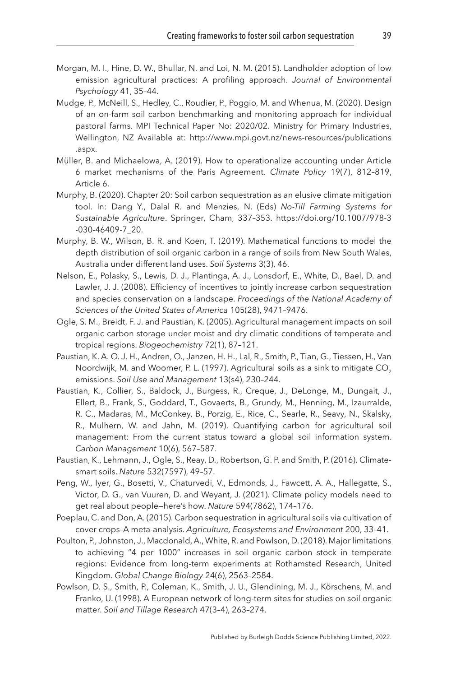- <span id="page-39-12"></span>Morgan, M. I., Hine, D. W., Bhullar, N. and Loi, N. M. (2015). Landholder adoption of low emission agricultural practices: A profiling approach. *Journal of Environmental Psychology* 41, 35–44.
- <span id="page-39-11"></span>Mudge, P., McNeill, S., Hedley, C., Roudier, P., Poggio, M. and Whenua, M. (2020). Design of an on-farm soil carbon benchmarking and monitoring approach for individual pastoral farms. MPI Technical Paper No: 2020/02. Ministry for Primary Industries, Wellington, NZ Available at: [http://www.mpi.govt.nz/news-resources/publications](http://dx.doi.org/http://www.mpi.govt.nz/news-resources/publications.aspx) [.aspx.](http://dx.doi.org/http://www.mpi.govt.nz/news-resources/publications.aspx)
- <span id="page-39-10"></span>Müller, B. and Michaelowa, A. (2019). How to operationalize accounting under Article 6 market mechanisms of the Paris Agreement. *Climate Policy* 19(7), 812–819, Article 6.
- <span id="page-39-3"></span>Murphy, B. (2020). Chapter 20: Soil carbon sequestration as an elusive climate mitigation tool. In: Dang Y., Dalal R. and Menzies, N. (Eds) *No-Till Farming Systems for Sustainable Agriculture*. Springer, Cham, 337–353. [https://doi.org/10.1007/978-3](http://dx.doi.org/https://doi.org/10.1007/978-3-030-46409-7_20) [-030-46409-7\\_20.](http://dx.doi.org/https://doi.org/10.1007/978-3-030-46409-7_20)
- <span id="page-39-6"></span>Murphy, B. W., Wilson, B. R. and Koen, T. (2019). Mathematical functions to model the depth distribution of soil organic carbon in a range of soils from New South Wales, Australia under different land uses. *Soil Systems* 3(3), 46.
- <span id="page-39-13"></span>Nelson, E., Polasky, S., Lewis, D. J., Plantinga, A. J., Lonsdorf, E., White, D., Bael, D. and Lawler, J. J. (2008). Efficiency of incentives to jointly increase carbon sequestration and species conservation on a landscape. *Proceedings of the National Academy of Sciences of the United States of America* 105(28), 9471–9476.
- <span id="page-39-4"></span>Ogle, S. M., Breidt, F. J. and Paustian, K. (2005). Agricultural management impacts on soil organic carbon storage under moist and dry climatic conditions of temperate and tropical regions. *Biogeochemistry* 72(1), 87–121.
- <span id="page-39-0"></span>Paustian, K. A. O. J. H., Andren, O., Janzen, H. H., Lal, R., Smith, P., Tian, G., Tiessen, H., Van Noordwijk, M. and Woomer, P. L. (1997). Agricultural soils as a sink to mitigate CO<sub>2</sub> emissions. *Soil Use and Management* 13(s4), 230–244.
- <span id="page-39-2"></span>Paustian, K., Collier, S., Baldock, J., Burgess, R., Creque, J., DeLonge, M., Dungait, J., Ellert, B., Frank, S., Goddard, T., Govaerts, B., Grundy, M., Henning, M., Izaurralde, R. C., Madaras, M., McConkey, B., Porzig, E., Rice, C., Searle, R., Seavy, N., Skalsky, R., Mulhern, W. and Jahn, M. (2019). Quantifying carbon for agricultural soil management: From the current status toward a global soil information system. *Carbon Management* 10(6), 567–587.
- <span id="page-39-1"></span>Paustian, K., Lehmann, J., Ogle, S., Reay, D., Robertson, G. P. and Smith, P. (2016). Climatesmart soils. *Nature* 532(7597), 49–57.
- <span id="page-39-9"></span>Peng, W., Iyer, G., Bosetti, V., Chaturvedi, V., Edmonds, J., Fawcett, A. A., Hallegatte, S., Victor, D. G., van Vuuren, D. and Weyant, J. (2021). Climate policy models need to get real about people—here's how. *Nature* 594(7862), 174–176.
- <span id="page-39-5"></span>Poeplau, C. and Don, A. (2015). Carbon sequestration in agricultural soils via cultivation of cover crops–A meta-analysis. *Agriculture, Ecosystems and Environment* 200, 33–41.
- <span id="page-39-7"></span>Poulton, P., Johnston, J., Macdonald, A., White, R. and Powlson, D. (2018). Major limitations to achieving "4 per 1000" increases in soil organic carbon stock in temperate regions: Evidence from long-term experiments at Rothamsted Research, United Kingdom. *Global Change Biology* 24(6), 2563–2584.
- <span id="page-39-8"></span>Powlson, D. S., Smith, P., Coleman, K., Smith, J. U., Glendining, M. J., Körschens, M. and Franko, U. (1998). A European network of long-term sites for studies on soil organic matter. *Soil and Tillage Research* 47(3–4), 263–274.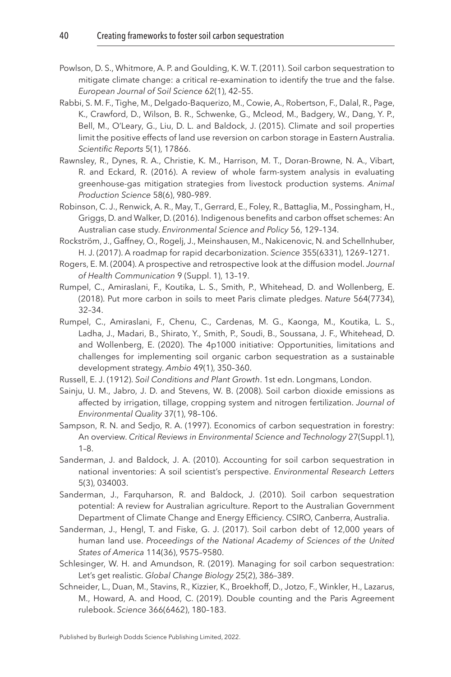- <span id="page-40-5"></span>Powlson, D. S., Whitmore, A. P. and Goulding, K. W. T. (2011). Soil carbon sequestration to mitigate climate change: a critical re-examination to identify the true and the false. *European Journal of Soil Science* 62(1), 42–55.
- <span id="page-40-11"></span>Rabbi, S. M. F., Tighe, M., Delgado-Baquerizo, M., Cowie, A., Robertson, F., Dalal, R., Page, K., Crawford, D., Wilson, B. R., Schwenke, G., Mcleod, M., Badgery, W., Dang, Y. P., Bell, M., O'Leary, G., Liu, D. L. and Baldock, J. (2015). Climate and soil properties limit the positive effects of land use reversion on carbon storage in Eastern Australia. *Scientific Reports* 5(1), 17866.
- <span id="page-40-14"></span>Rawnsley, R., Dynes, R. A., Christie, K. M., Harrison, M. T., Doran-Browne, N. A., Vibart, R. and Eckard, R. (2016). A review of whole farm-system analysis in evaluating greenhouse-gas mitigation strategies from livestock production systems. *Animal Production Science* 58(6), 980–989.
- <span id="page-40-13"></span>Robinson, C. J., Renwick, A. R., May, T., Gerrard, E., Foley, R., Battaglia, M., Possingham, H., Griggs, D. and Walker, D. (2016). Indigenous benefits and carbon offset schemes: An Australian case study. *Environmental Science and Policy* 56, 129–134.
- <span id="page-40-0"></span>Rockström, J., Gaffney, O., Rogelj, J., Meinshausen, M., Nakicenovic, N. and Schellnhuber, H. J. (2017). A roadmap for rapid decarbonization. *Science* 355(6331), 1269–1271.
- <span id="page-40-12"></span>Rogers, E. M. (2004). A prospective and retrospective look at the diffusion model. *Journal of Health Communication* 9 (Suppl. 1), 13–19.
- <span id="page-40-8"></span>Rumpel, C., Amiraslani, F., Koutika, L. S., Smith, P., Whitehead, D. and Wollenberg, E. (2018). Put more carbon in soils to meet Paris climate pledges. *Nature* 564(7734), 32–34.
- <span id="page-40-7"></span>Rumpel, C., Amiraslani, F., Chenu, C., Cardenas, M. G., Kaonga, M., Koutika, L. S., Ladha, J., Madari, B., Shirato, Y., Smith, P., Soudi, B., Soussana, J. F., Whitehead, D. and Wollenberg, E. (2020). The 4p1000 initiative: Opportunities, limitations and challenges for implementing soil organic carbon sequestration as a sustainable development strategy. *Ambio* 49(1), 350–360.
- <span id="page-40-3"></span>Russell, E. J. (1912). *Soil Conditions and Plant Growth*. 1st edn. Longmans, London.
- <span id="page-40-4"></span>Sainju, U. M., Jabro, J. D. and Stevens, W. B. (2008). Soil carbon dioxide emissions as affected by irrigation, tillage, cropping system and nitrogen fertilization. *Journal of Environmental Quality* 37(1), 98–106.
- <span id="page-40-10"></span>Sampson, R. N. and Sedjo, R. A. (1997). Economics of carbon sequestration in forestry: An overview. *Critical Reviews in Environmental Science and Technology* 27(Suppl.1), 1–8.
- <span id="page-40-6"></span>Sanderman, J. and Baldock, J. A. (2010). Accounting for soil carbon sequestration in national inventories: A soil scientist's perspective. *Environmental Research Letters* 5(3), 034003.
- <span id="page-40-1"></span>Sanderman, J., Farquharson, R. and Baldock, J. (2010). Soil carbon sequestration potential: A review for Australian agriculture. Report to the Australian Government Department of Climate Change and Energy Efficiency. CSIRO, Canberra, Australia.
- <span id="page-40-2"></span>Sanderman, J., Hengl, T. and Fiske, G. J. (2017). Soil carbon debt of 12,000 years of human land use. *Proceedings of the National Academy of Sciences of the United States of America* 114(36), 9575–9580.
- <span id="page-40-15"></span>Schlesinger, W. H. and Amundson, R. (2019). Managing for soil carbon sequestration: Let's get realistic. *Global Change Biology* 25(2), 386–389.
- <span id="page-40-9"></span>Schneider, L., Duan, M., Stavins, R., Kizzier, K., Broekhoff, D., Jotzo, F., Winkler, H., Lazarus, M., Howard, A. and Hood, C. (2019). Double counting and the Paris Agreement rulebook. *Science* 366(6462), 180–183.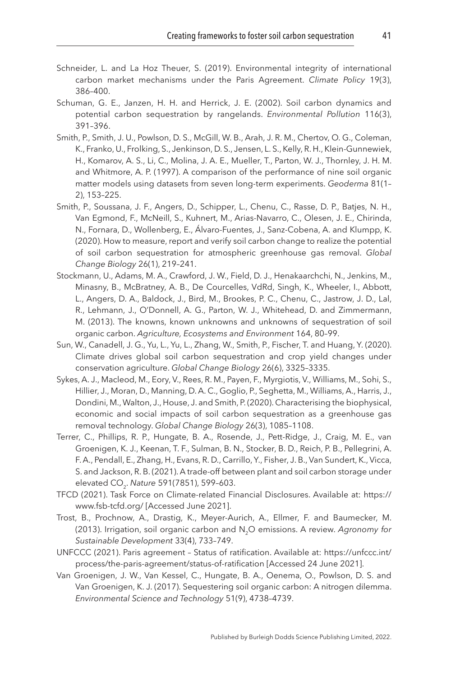- <span id="page-41-2"></span>Schneider, L. and La Hoz Theuer, S. (2019). Environmental integrity of international carbon market mechanisms under the Paris Agreement. *Climate Policy* 19(3), 386–400.
- <span id="page-41-0"></span>Schuman, G. E., Janzen, H. H. and Herrick, J. E. (2002). Soil carbon dynamics and potential carbon sequestration by rangelands. *Environmental Pollution* 116(3), 391–396.
- <span id="page-41-10"></span>Smith, P., Smith, J. U., Powlson, D. S., McGill, W. B., Arah, J. R. M., Chertov, O. G., Coleman, K., Franko, U., Frolking, S., Jenkinson, D. S., Jensen, L. S., Kelly, R. H., Klein-Gunnewiek, H., Komarov, A. S., Li, C., Molina, J. A. E., Mueller, T., Parton, W. J., Thornley, J. H. M. and Whitmore, A. P. (1997). A comparison of the performance of nine soil organic matter models using datasets from seven long-term experiments. *Geoderma* 81(1– 2), 153–225.
- <span id="page-41-8"></span>Smith, P., Soussana, J. F., Angers, D., Schipper, L., Chenu, C., Rasse, D. P., Batjes, N. H., Van Egmond, F., McNeill, S., Kuhnert, M., Arias-Navarro, C., Olesen, J. E., Chirinda, N., Fornara, D., Wollenberg, E., Álvaro-Fuentes, J., Sanz-Cobena, A. and Klumpp, K. (2020). How to measure, report and verify soil carbon change to realize the potential of soil carbon sequestration for atmospheric greenhouse gas removal. *Global Change Biology* 26(1), 219–241.
- <span id="page-41-1"></span>Stockmann, U., Adams, M. A., Crawford, J. W., Field, D. J., Henakaarchchi, N., Jenkins, M., Minasny, B., McBratney, A. B., De Courcelles, VdRd, Singh, K., Wheeler, I., Abbott, L., Angers, D. A., Baldock, J., Bird, M., Brookes, P. C., Chenu, C., Jastrow, J. D., Lal, R., Lehmann, J., O'Donnell, A. G., Parton, W. J., Whitehead, D. and Zimmermann, M. (2013). The knowns, known unknowns and unknowns of sequestration of soil organic carbon. *Agriculture, Ecosystems and Environment* 164, 80–99.
- <span id="page-41-3"></span>Sun, W., Canadell, J. G., Yu, L., Yu, L., Zhang, W., Smith, P., Fischer, T. and Huang, Y. (2020). Climate drives global soil carbon sequestration and crop yield changes under conservation agriculture. *Global Change Biology* 26(6), 3325–3335.
- <span id="page-41-11"></span>Sykes, A. J., Macleod, M., Eory, V., Rees, R. M., Payen, F., Myrgiotis, V., Williams, M., Sohi, S., Hillier, J., Moran, D., Manning, D. A. C., Goglio, P., Seghetta, M., Williams, A., Harris, J., Dondini, M., Walton, J., House, J. and Smith, P. (2020). Characterising the biophysical, economic and social impacts of soil carbon sequestration as a greenhouse gas removal technology. *Global Change Biology* 26(3), 1085–1108.
- <span id="page-41-9"></span>Terrer, C., Phillips, R. P., Hungate, B. A., Rosende, J., Pett-Ridge, J., Craig, M. E., van Groenigen, K. J., Keenan, T. F., Sulman, B. N., Stocker, B. D., Reich, P. B., Pellegrini, A. F. A., Pendall, E., Zhang, H., Evans, R. D., Carrillo, Y., Fisher, J. B., Van Sundert, K., Vicca, S. and Jackson, R. B. (2021). A trade-off between plant and soil carbon storage under elevated CO<sub>2</sub>. Nature 591(7851), 599-603.
- <span id="page-41-7"></span>TFCD (2021). Task Force on Climate-related Financial Disclosures. Available at: [https://](https://www.fsb-tcfd.org/) [www.fsb-tcfd.org/](https://www.fsb-tcfd.org/) [Accessed June 2021].
- <span id="page-41-4"></span>Trost, B., Prochnow, A., Drastig, K., Meyer-Aurich, A., Ellmer, F. and Baumecker, M. (2013). Irrigation, soil organic carbon and N2O emissions. A review. *Agronomy for Sustainable Development* 33(4), 733–749.
- <span id="page-41-6"></span>UNFCCC (2021). Paris agreement – Status of ratification. Available at: [https://unfccc.int/](https://unfccc.int/process/the-paris-agreement/status-of-ratification) [process/the-paris-agreement/status-of-ratification](https://unfccc.int/process/the-paris-agreement/status-of-ratification) [Accessed 24 June 2021].
- <span id="page-41-5"></span>Van Groenigen, J. W., Van Kessel, C., Hungate, B. A., Oenema, O., Powlson, D. S. and Van Groenigen, K. J. (2017). Sequestering soil organic carbon: A nitrogen dilemma. *Environmental Science and Technology* 51(9), 4738–4739.